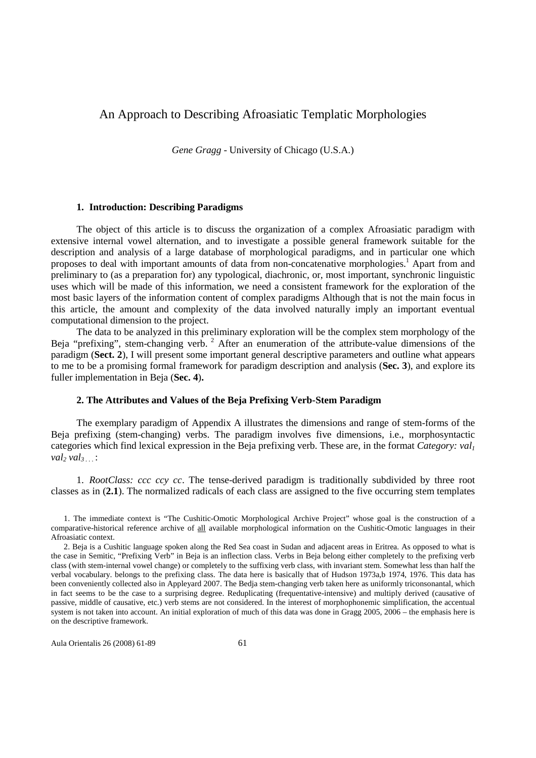# An Approach to Describing Afroasiatic Templatic Morphologies

*Gene Gragg* - University of Chicago (U.S.A.)

### **1. Introduction: Describing Paradigms**

The object of this article is to discuss the organization of a complex Afroasiatic paradigm with extensive internal vowel alternation, and to investigate a possible general framework suitable for the description and analysis of a large database of morphological paradigms, and in particular one which proposes to deal with important amounts of data from non-concatenative morphologies.<sup>1</sup> Apart from and preliminary to (as a preparation for) any typological, diachronic, or, most important, synchronic linguistic uses which will be made of this information, we need a consistent framework for the exploration of the most basic layers of the information content of complex paradigms Although that is not the main focus in this article, the amount and complexity of the data involved naturally imply an important eventual computational dimension to the project.

The data to be analyzed in this preliminary exploration will be the complex stem morphology of the Beja "prefixing", stem-changing verb.<sup>2</sup> After an enumeration of the attribute-value dimensions of the paradigm (**Sect. 2**), I will present some important general descriptive parameters and outline what appears to me to be a promising formal framework for paradigm description and analysis (**Sec. 3**), and explore its fuller implementation in Beja (**Sec. 4**)**.** 

### **2. The Attributes and Values of the Beja Prefixing Verb-Stem Paradigm**

The exemplary paradigm of Appendix A illustrates the dimensions and range of stem-forms of the Beja prefixing (stem-changing) verbs. The paradigm involves five dimensions, i.e., morphosyntactic categories which find lexical expression in the Beja prefixing verb. These are, in the format *Category: val<sup>1</sup> val2 val3 . . .* :

1. *RootClass: ccc ccy cc*. The tense-derived paradigm is traditionally subdivided by three root classes as in (**2.1**). The normalized radicals of each class are assigned to the five occurring stem templates

Aula Orientalis 26 (2008) 61-89 61

<sup>1.</sup> The immediate context is "The Cushitic-Omotic Morphological Archive Project" whose goal is the construction of a comparative-historical reference archive of all available morphological information on the Cushitic-Omotic languages in their Afroasiatic context.

<sup>2.</sup> Beja is a Cushitic language spoken along the Red Sea coast in Sudan and adjacent areas in Eritrea. As opposed to what is the case in Semitic, "Prefixing Verb" in Beja is an inflection class. Verbs in Beja belong either completely to the prefixing verb class (with stem-internal vowel change) or completely to the suffixing verb class, with invariant stem. Somewhat less than half the verbal vocabulary. belongs to the prefixing class. The data here is basically that of Hudson 1973a,b 1974, 1976. This data has been conveniently collected also in Appleyard 2007. The Bedja stem-changing verb taken here as uniformly triconsonantal, which in fact seems to be the case to a surprising degree. Reduplicating (frequentative-intensive) and multiply derived (causative of passive, middle of causative, etc.) verb stems are not considered. In the interest of morphophonemic simplification, the accentual system is not taken into account. An initial exploration of much of this data was done in Gragg 2005, 2006 – the emphasis here is on the descriptive framework.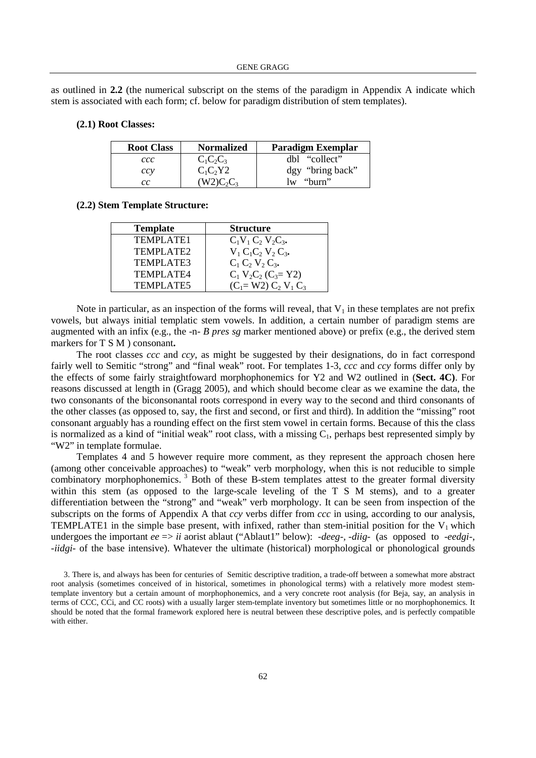as outlined in **2.2** (the numerical subscript on the stems of the paradigm in Appendix A indicate which stem is associated with each form; cf. below for paradigm distribution of stem templates).

### **(2.1) Root Classes:**

| <b>Root Class</b> | <b>Normalized</b>                  | <b>Paradigm Exemplar</b>          |
|-------------------|------------------------------------|-----------------------------------|
| ccc               | $C_1C_2C_3$                        | dbl "collect"                     |
| ccy               | $C_1C_2Y2$                         | dgy "bring back"                  |
| cс                | $W2$ C <sub>2</sub> C <sub>2</sub> | "burn"<br>$\mathsf{I} \mathbf{w}$ |

#### **(2.2) Stem Template Structure:**

| <b>Template</b>  | <b>Structure</b>         |
|------------------|--------------------------|
| TEMPLATE1        | $C_1V_1C_2V_2C_3$ .      |
| TEMPLATE2        | $V_1 C_1 C_2 V_2 C_3$ .  |
| TEMPLATE3        | $C_1 C_2 V_2 C_3$ .      |
| TEMPLATE4        | $C_1 V_2 C_2 (C_3 = Y2)$ |
| <b>TEMPLATE5</b> | $(C_1 = W2) C_2 V_1 C_3$ |

Note in particular, as an inspection of the forms will reveal, that  $V_1$  in these templates are not prefix vowels, but always initial templatic stem vowels. In addition, a certain number of paradigm stems are augmented with an infix (e.g., the -n- *B pres sg* marker mentioned above) or prefix (e.g., the derived stem markers for T S M ) consonant**.** 

The root classes *ccc* and *ccy*, as might be suggested by their designations, do in fact correspond fairly well to Semitic "strong" and "final weak" root. For templates 1-3, *ccc* and *ccy* forms differ only by the effects of some fairly straightfoward morphophonemics for Y2 and W2 outlined in (**Sect. 4C)**. For reasons discussed at length in (Gragg 2005), and which should become clear as we examine the data, the two consonants of the biconsonantal roots correspond in every way to the second and third consonants of the other classes (as opposed to, say, the first and second, or first and third). In addition the "missing" root consonant arguably has a rounding effect on the first stem vowel in certain forms. Because of this the class is normalized as a kind of "initial weak" root class, with a missing  $C_1$ , perhaps best represented simply by "W2" in template formulae.

Templates 4 and 5 however require more comment, as they represent the approach chosen here (among other conceivable approaches) to "weak" verb morphology, when this is not reducible to simple combinatory morphophonemics.<sup>3</sup> Both of these B-stem templates attest to the greater formal diversity within this stem (as opposed to the large-scale leveling of the T S M stems), and to a greater differentiation between the "strong" and "weak" verb morphology. It can be seen from inspection of the subscripts on the forms of Appendix A that *ccy* verbs differ from *ccc* in using, according to our analysis, TEMPLATE1 in the simple base present, with infixed, rather than stem-initial position for the  $V_1$  which undergoes the important *ee* => *ii* aorist ablaut ("Ablaut1" below): *-deeg-, -diig-* (as opposed to *-eedgi-*, *-iidgi-* of the base intensive). Whatever the ultimate (historical) morphological or phonological grounds

3. There is, and always has been for centuries of Semitic descriptive tradition, a trade-off between a somewhat more abstract root analysis (sometimes conceived of in historical, sometimes in phonological terms) with a relatively more modest stemtemplate inventory but a certain amount of morphophonemics, and a very concrete root analysis (for Beja, say, an analysis in terms of CCC, CCi, and CC roots) with a usually larger stem-template inventory but sometimes little or no morphophonemics. It should be noted that the formal framework explored here is neutral between these descriptive poles, and is perfectly compatible with either.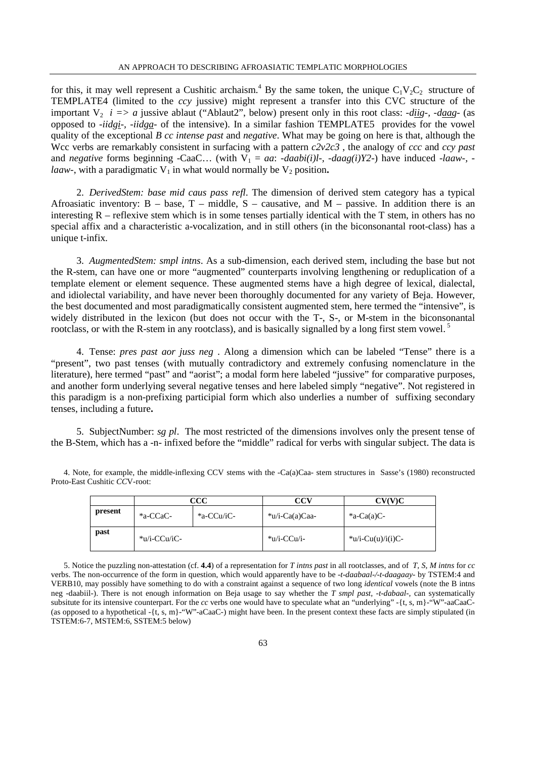for this, it may well represent a Cushitic archaism.<sup>4</sup> By the same token, the unique  $C_1V_2C_2$  structure of TEMPLATE4 (limited to the *ccy* jussive) might represent a transfer into this CVC structure of the important  $V_2$  *i* => *a* jussive ablaut ("Ablaut2", below) present only in this root class: *-diig-, -daag-* (as opposed to *-iidgi-, -iidga-* of the intensive). In a similar fashion TEMPLATE5 provides for the vowel quality of the exceptional *B cc intense past* and *negative*. What may be going on here is that, although the Wcc verbs are remarkably consistent in surfacing with a pattern *c2v2c3* , the analogy of *ccc* and *ccy past* and *negative* forms beginning -CaaC... (with  $V_1 = aa$ : *-daabi(i)l-, -daag(i)Y2-)* have induced *-laaw-*, *laaw*-, with a paradigmatic  $V_1$  in what would normally be  $V_2$  position.

2. *DerivedStem: base mid caus pass refl*. The dimension of derived stem category has a typical Afroasiatic inventory:  $B - base$ ,  $T - middle$ ,  $S - causative$ , and  $M - passive$ . In addition there is an interesting  $R$  – reflexive stem which is in some tenses partially identical with the  $T$  stem, in others has no special affix and a characteristic a-vocalization, and in still others (in the biconsonantal root-class) has a unique t-infix.

3. *AugmentedStem: smpl intns*. As a sub-dimension, each derived stem, including the base but not the R-stem, can have one or more "augmented" counterparts involving lengthening or reduplication of a template element or element sequence. These augmented stems have a high degree of lexical, dialectal, and idiolectal variability, and have never been thoroughly documented for any variety of Beja. However, the best documented and most paradigmatically consistent augmented stem, here termed the "intensive", is widely distributed in the lexicon (but does not occur with the T-, S-, or M-stem in the biconsonantal rootclass, or with the R-stem in any rootclass), and is basically signalled by a long first stem vowel.<sup>5</sup>

4. Tense: *pres past aor juss neg* . Along a dimension which can be labeled "Tense" there is a "present", two past tenses (with mutually contradictory and extremely confusing nomenclature in the literature), here termed "past" and "aorist"; a modal form here labeled "jussive" for comparative purposes, and another form underlying several negative tenses and here labeled simply "negative". Not registered in this paradigm is a non-prefixing participial form which also underlies a number of suffixing secondary tenses, including a future**.** 

5. SubjectNumber: *sg pl*. The most restricted of the dimensions involves only the present tense of the B-Stem, which has a -n- infixed before the "middle" radical for verbs with singular subject. The data is

|         | $\operatorname{CC}$ |            | CCV                          | CV(V)C                           |  |
|---------|---------------------|------------|------------------------------|----------------------------------|--|
| present | $-a-CCaC$           | *a-CCu/iC- | $\cdot \text{u/i-Ca(a)Caa-}$ | $a$ -Ca(a)C-                     |  |
| past    | *u/i-CCu/iC-        |            | *u/i-CCu/i-                  | $\cdot \text{u/i-Cu(u)/i(i)}C$ - |  |

4. Note, for example, the middle-inflexing CCV stems with the -Ca(a)Caa- stem structures in Sasse's (1980) reconstructed Proto-East Cushitic *CC*V-root:

5. Notice the puzzling non-attestation (cf. **4.4**) of a representation for *T intns past* in all rootclasses, and of *T, S, M intns* for *cc* verbs. The non-occurrence of the form in question, which would apparently have to be *-t-daabaal-/-t-daagaay-* by TSTEM:4 and VERB10, may possibly have something to do with a constraint against a sequence of two long *identical* vowels (note the B intns neg -daabiil-). There is not enough information on Beja usage to say whether the *T smpl past, -t-dabaal-,* can systematically subsitute for its intensive counterpart. For the *cc* verbs one would have to speculate what an "underlying" -{t, s, m}-"W"-aaCaaC- (as opposed to a hypothetical  $-\{t, s, m\}$ -"W"-aCaaC-) might have been. In the present context these facts are simply stipulated (in TSTEM:6-7, MSTEM:6, SSTEM:5 below)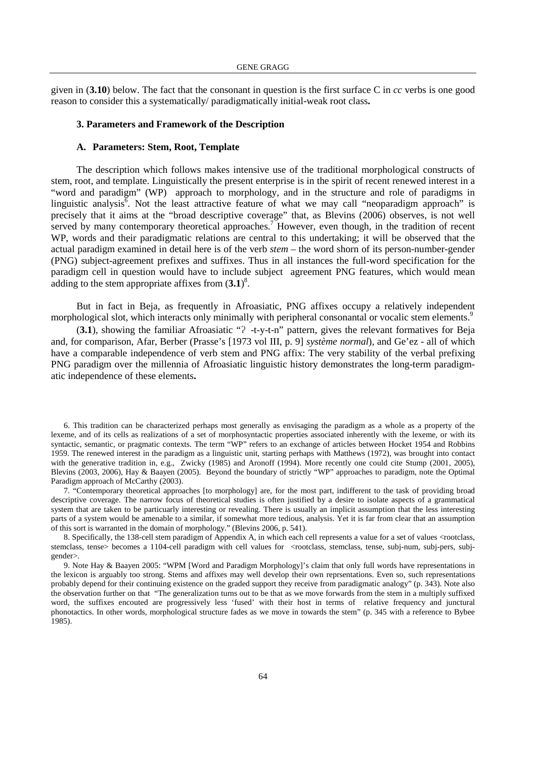given in (**3.10**) below. The fact that the consonant in question is the first surface C in *cc* verbs is one good reason to consider this a systematically/ paradigmatically initial-weak root class**.** 

### **3. Parameters and Framework of the Description**

#### **A. Parameters: Stem, Root, Template**

The description which follows makes intensive use of the traditional morphological constructs of stem, root, and template. Linguistically the present enterprise is in the spirit of recent renewed interest in a "word and paradigm" (WP) approach to morphology, and in the structure and role of paradigms in linguistic analysis<sup> $\bar{6}$ </sup>. Not the least attractive feature of what we may call "neoparadigm approach" is precisely that it aims at the "broad descriptive coverage" that, as Blevins (2006) observes, is not well served by many contemporary theoretical approaches.<sup>7</sup> However, even though, in the tradition of recent WP, words and their paradigmatic relations are central to this undertaking; it will be observed that the actual paradigm examined in detail here is of the verb *stem* – the word shorn of its person-number-gender (PNG) subject-agreement prefixes and suffixes. Thus in all instances the full-word specification for the paradigm cell in question would have to include subject agreement PNG features, which would mean adding to the stem appropriate affixes from  $(3.1)^8$ .

But in fact in Beja, as frequently in Afroasiatic, PNG affixes occupy a relatively independent morphological slot, which interacts only minimally with peripheral consonantal or vocalic stem elements.<sup>9</sup>

(**3.1**), showing the familiar Afroasiatic "ʔ -t-y-t-n" pattern, gives the relevant formatives for Beja and, for comparison, Afar, Berber (Prasse's [1973 vol III, p. 9] *système normal*), and Ge'ez - all of which have a comparable independence of verb stem and PNG affix: The very stability of the verbal prefixing PNG paradigm over the millennia of Afroasiatic linguistic history demonstrates the long-term paradigmatic independence of these elements**.** 

6. This tradition can be characterized perhaps most generally as envisaging the paradigm as a whole as a property of the lexeme, and of its cells as realizations of a set of morphosyntactic properties associated inherently with the lexeme, or with its syntactic, semantic, or pragmatic contexts. The term "WP" refers to an exchange of articles between Hocket 1954 and Robbins 1959. The renewed interest in the paradigm as a linguistic unit, starting perhaps with Matthews (1972), was brought into contact with the generative tradition in, e.g., Zwicky (1985) and Aronoff (1994). More recently one could cite Stump (2001, 2005), Blevins (2003, 2006), Hay & Baayen (2005). Beyond the boundary of strictly "WP" approaches to paradigm, note the Optimal Paradigm approach of McCarthy (2003).

7. "Contemporary theoretical approaches [to morphology] are, for the most part, indifferent to the task of providing broad descriptive coverage. The narrow focus of theoretical studies is often justified by a desire to isolate aspects of a grammatical system that are taken to be particuarly interesting or revealing. There is usually an implicit assumption that the less interesting parts of a system would be amenable to a similar, if somewhat more tedious, analysis. Yet it is far from clear that an assumption of this sort is warranted in the domain of morphology." (Blevins 2006, p. 541).

8. Specifically, the 138-cell stem paradigm of Appendix A, in which each cell represents a value for a set of values <rootclass, stemclass, tense> becomes a 1104-cell paradigm with cell values for <rootclass, stemclass, tense, subj-num, subj-pers, subjgender>.

9. Note Hay & Baayen 2005: "WPM [Word and Paradigm Morphology]'s claim that only full words have representations in the lexicon is arguably too strong. Stems and affixes may well develop their own reprsentations. Even so, such representations probably depend for their continuing existence on the graded support they receive from paradigmatic analogy" (p. 343). Note also the observation further on that "The generalization turns out to be that as we move forwards from the stem in a multiply suffixed word, the suffixes encouted are progressively less 'fused' with their host in terms of relative frequency and junctural phonotactics. In other words, morphological structure fades as we move in towards the stem" (p. 345 with a reference to Bybee 1985).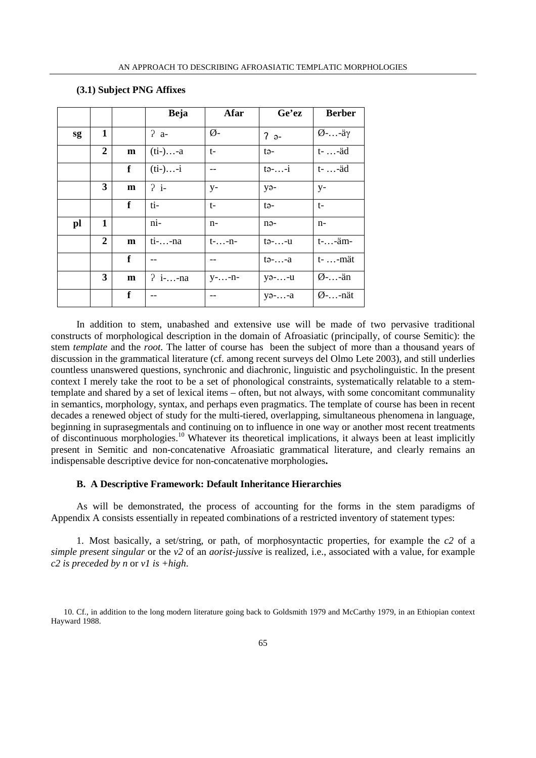|    |                  |              | <b>Beja</b> | Afar          | Ge'ez                            | <b>Berber</b>       |
|----|------------------|--------------|-------------|---------------|----------------------------------|---------------------|
| sg | 1                |              | $2a-$       | $\emptyset$ - | $2a -$                           | $\varnothing$ --äγ  |
|    | $\overline{2}$   | m            | $(ii-)-a$   | $t-$          | tə-                              | t- -äd              |
|    |                  | $\mathbf f$  | $(ii-)i$    | --            | $t$ $\circ$ $\cdots$ $\circ$ $i$ | t- -äd              |
|    | 3                | $\mathbf{m}$ | 2i          | $V -$         | $y_{\partial^-}$                 | $y-$                |
|    |                  | f            | ti-         | t-            | tə-                              | $t-$                |
| pl | 1                |              | ni-         | $n-$          | nə-                              | $n-$                |
|    | $\boldsymbol{2}$ | m            | $ti$ --na   | $t-.-.-n-$    | $t$ ə- $\ldots$ -u               | $t-.$ $-i$ $m-$     |
|    |                  | f            |             |               | $t \rightarrow -1$               | t- -mät             |
|    | 3                | $\mathbf{m}$ | $? i-. n a$ | $y$ --n-      | $y_9$ --u                        | $\varnothing$ --än  |
|    |                  | f            |             | --            | $y_9$ --a                        | $\varnothing$ --nät |

## **(3.1) Subject PNG Affixes**

In addition to stem, unabashed and extensive use will be made of two pervasive traditional constructs of morphological description in the domain of Afroasiatic (principally, of course Semitic): the stem *template* and the *root*. The latter of course has been the subject of more than a thousand years of discussion in the grammatical literature (cf. among recent surveys del Olmo Lete 2003), and still underlies countless unanswered questions, synchronic and diachronic, linguistic and psycholinguistic. In the present context I merely take the root to be a set of phonological constraints, systematically relatable to a stemtemplate and shared by a set of lexical items – often, but not always, with some concomitant communality in semantics, morphology, syntax, and perhaps even pragmatics. The template of course has been in recent decades a renewed object of study for the multi-tiered, overlapping, simultaneous phenomena in language, beginning in suprasegmentals and continuing on to influence in one way or another most recent treatments of discontinuous morphologies.<sup>10</sup> Whatever its theoretical implications, it always been at least implicitly present in Semitic and non-concatenative Afroasiatic grammatical literature, and clearly remains an indispensable descriptive device for non-concatenative morphologies**.** 

### **B. A Descriptive Framework: Default Inheritance Hierarchies**

As will be demonstrated, the process of accounting for the forms in the stem paradigms of Appendix A consists essentially in repeated combinations of a restricted inventory of statement types:

1. Most basically, a set/string, or path, of morphosyntactic properties, for example the *c2* of a *simple present singular* or the *v2* of an *aorist-jussive* is realized, i.e., associated with a value, for example *c2 is preceded by n* or *v1 is +high*.

<sup>10.</sup> Cf., in addition to the long modern literature going back to Goldsmith 1979 and McCarthy 1979, in an Ethiopian context Hayward 1988.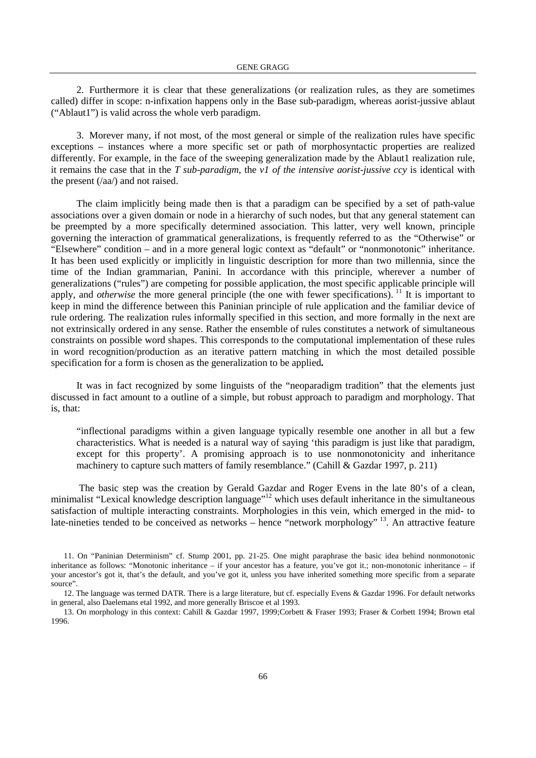2. Furthermore it is clear that these generalizations (or realization rules, as they are sometimes called) differ in scope: n-infixation happens only in the Base sub-paradigm, whereas aorist-jussive ablaut ("Ablaut1") is valid across the whole verb paradigm.

3. Morever many, if not most, of the most general or simple of the realization rules have specific exceptions – instances where a more specific set or path of morphosyntactic properties are realized differently. For example, in the face of the sweeping generalization made by the Ablaut1 realization rule, it remains the case that in the *T sub-paradigm*, the *v1 of the intensive aorist-jussive ccy* is identical with the present (/aa/) and not raised.

The claim implicitly being made then is that a paradigm can be specified by a set of path-value associations over a given domain or node in a hierarchy of such nodes, but that any general statement can be preempted by a more specifically determined association. This latter, very well known, principle governing the interaction of grammatical generalizations, is frequently referred to as the "Otherwise" or "Elsewhere" condition – and in a more general logic context as "default" or "nonmonotonic" inheritance. It has been used explicitly or implicitly in linguistic description for more than two millennia, since the time of the Indian grammarian, Panini. In accordance with this principle, wherever a number of generalizations ("rules") are competing for possible application, the most specific applicable principle will apply, and *otherwise* the more general principle (the one with fewer specifications).<sup>11</sup> It is important to keep in mind the difference between this Paninian principle of rule application and the familiar device of rule ordering. The realization rules informally specified in this section, and more formally in the next are not extrinsically ordered in any sense. Rather the ensemble of rules constitutes a network of simultaneous constraints on possible word shapes. This corresponds to the computational implementation of these rules in word recognition/production as an iterative pattern matching in which the most detailed possible specification for a form is chosen as the generalization to be applied**.** 

It was in fact recognized by some linguists of the "neoparadigm tradition" that the elements just discussed in fact amount to a outline of a simple, but robust approach to paradigm and morphology. That is, that:

"inflectional paradigms within a given language typically resemble one another in all but a few characteristics. What is needed is a natural way of saying 'this paradigm is just like that paradigm, except for this property'. A promising approach is to use nonmonotonicity and inheritance machinery to capture such matters of family resemblance." (Cahill & Gazdar 1997, p. 211)

 The basic step was the creation by Gerald Gazdar and Roger Evens in the late 80's of a clean, minimalist "Lexical knowledge description language"<sup>12</sup> which uses default inheritance in the simultaneous satisfaction of multiple interacting constraints. Morphologies in this vein, which emerged in the mid- to late-nineties tended to be conceived as networks – hence "network morphology"<sup>13</sup>. An attractive feature

<sup>11.</sup> On "Paninian Determinism" cf. Stump 2001, pp. 21-25. One might paraphrase the basic idea behind nonmonotonic inheritance as follows: "Monotonic inheritance – if your ancestor has a feature, you've got it.; non-monotonic inheritance – if your ancestor's got it, that's the default, and you've got it, unless you have inherited something more specific from a separate source".

<sup>12.</sup> The language was termed DATR. There is a large literature, but cf. especially Evens & Gazdar 1996. For default networks in general, also Daelemans etal 1992, and more generally Briscoe et al 1993.

<sup>13.</sup> On morphology in this context: Cahill & Gazdar 1997, 1999;Corbett & Fraser 1993; Fraser & Corbett 1994; Brown etal 1996.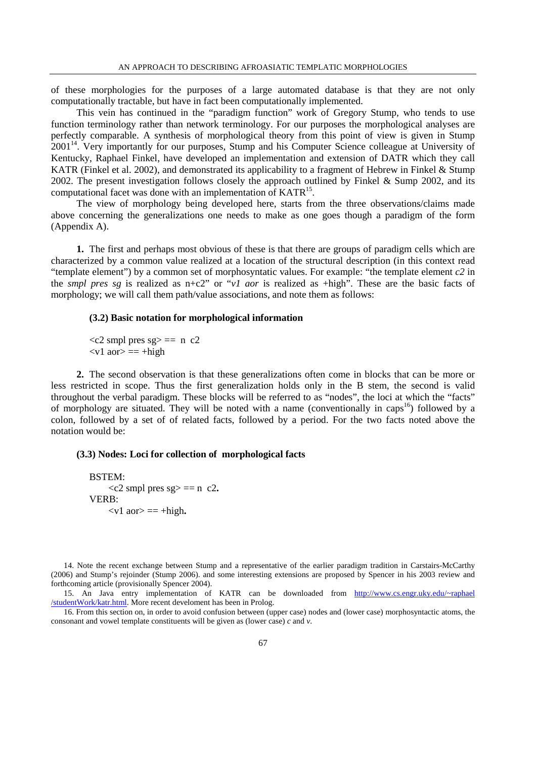of these morphologies for the purposes of a large automated database is that they are not only computationally tractable, but have in fact been computationally implemented.

This vein has continued in the "paradigm function" work of Gregory Stump, who tends to use function terminology rather than network terminology. For our purposes the morphological analyses are perfectly comparable. A synthesis of morphological theory from this point of view is given in Stump 2001<sup>14</sup>. Very importantly for our purposes, Stump and his Computer Science colleague at University of Kentucky, Raphael Finkel, have developed an implementation and extension of DATR which they call KATR (Finkel et al. 2002), and demonstrated its applicability to a fragment of Hebrew in Finkel & Stump 2002. The present investigation follows closely the approach outlined by Finkel & Sump 2002, and its computational facet was done with an implementation of  $KATR<sup>15</sup>$ .

The view of morphology being developed here, starts from the three observations/claims made above concerning the generalizations one needs to make as one goes though a paradigm of the form (Appendix A).

**1.** The first and perhaps most obvious of these is that there are groups of paradigm cells which are characterized by a common value realized at a location of the structural description (in this context read "template element") by a common set of morphosyntatic values. For example: "the template element *c2* in the *smpl pres sg* is realized as n+c2" or "*v1 aor* is realized as +high". These are the basic facts of morphology; we will call them path/value associations, and note them as follows:

### **(3.2) Basic notation for morphological information**

 $\langle c2 \rangle$  smpl pres sg  $\langle = \rangle$  n  $c2$  $\langle v1 \text{ aor} \rangle = \pm \text{high}$ 

**2.** The second observation is that these generalizations often come in blocks that can be more or less restricted in scope. Thus the first generalization holds only in the B stem, the second is valid throughout the verbal paradigm. These blocks will be referred to as "nodes", the loci at which the "facts" of morphology are situated. They will be noted with a name (conventionally in caps<sup>16</sup>) followed by a colon, followed by a set of of related facts, followed by a period. For the two facts noted above the notation would be:

### **(3.3) Nodes: Loci for collection of morphological facts**

```
 BSTEM: 
      <<c2 smpl pres sg> == n c2.
 VERB: 
      \langle v1 \text{ aor} \rangle = \pm \text{high.}
```
14. Note the recent exchange between Stump and a representative of the earlier paradigm tradition in Carstairs-McCarthy (2006) and Stump's rejoinder (Stump 2006). and some interesting extensions are proposed by Spencer in his 2003 review and forthcoming article (provisionally Spencer 2004).

15. An Java entry implementation of KATR can be downloaded from http://www.cs.engr.uky.edu/~raphael /studentWork/katr.html. More recent develoment has been in Prolog.

16. From this section on, in order to avoid confusion between (upper case) nodes and (lower case) morphosyntactic atoms, the consonant and vowel template constituents will be given as (lower case) *c* and *v*.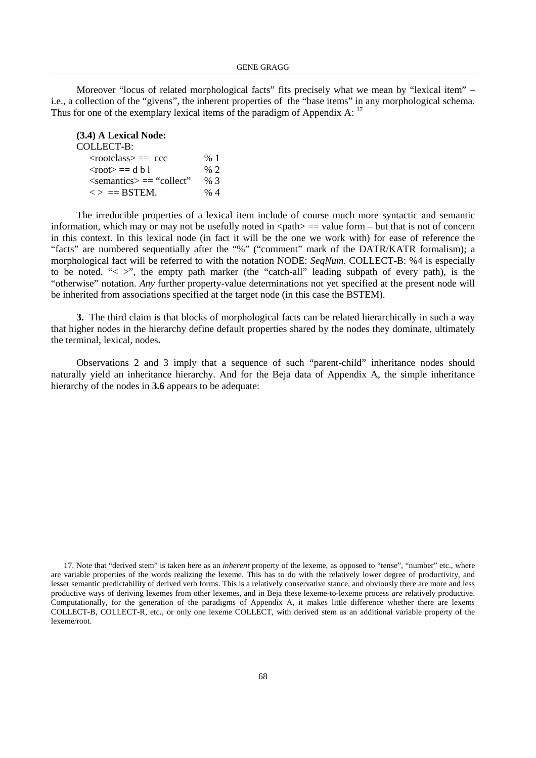Moreover "locus of related morphological facts" fits precisely what we mean by "lexical item" – i.e., a collection of the "givens", the inherent properties of the "base items" in any morphological schema. Thus for one of the exemplary lexical items of the paradigm of Appendix A: <sup>17</sup>

| (3.4) A Lexical Node:               |        |
|-------------------------------------|--------|
| COLLECT-B:                          |        |
| $<$ rootclass $> ==$ ccc            | %1     |
| $<$ root $>=$ d b l                 | $\%$ 2 |
| $\le$ semantics $\ge$ $=$ "collect" | % 3    |
| $\langle \rangle$ = BSTEM.          | % 4    |

The irreducible properties of a lexical item include of course much more syntactic and semantic information, which may or may not be usefully noted in  $\text{~path}$  = value form – but that is not of concern in this context. In this lexical node (in fact it will be the one we work with) for ease of reference the "facts" are numbered sequentially after the "%" ("comment" mark of the DATR/KATR formalism); a morphological fact will be referred to with the notation NODE: *SeqNum*. COLLECT-B: %4 is especially to be noted. " $\langle \rangle$ ", the empty path marker (the "catch-all" leading subpath of every path), is the "otherwise" notation. *Any* further property-value determinations not yet specified at the present node will be inherited from associations specified at the target node (in this case the BSTEM).

**3.** The third claim is that blocks of morphological facts can be related hierarchically in such a way that higher nodes in the hierarchy define default properties shared by the nodes they dominate, ultimately the terminal, lexical, nodes**.** 

Observations 2 and 3 imply that a sequence of such "parent-child" inheritance nodes should naturally yield an inheritance hierarchy. And for the Beja data of Appendix A, the simple inheritance hierarchy of the nodes in **3.6** appears to be adequate:

<sup>17.</sup> Note that "derived stem" is taken here as an *inherent* property of the lexeme, as opposed to "tense", "number" etc., where are variable properties of the words realizing the lexeme. This has to do with the relatively lower degree of productivity, and lesser semantic predictability of derived verb forms. This is a relatively conservative stance, and obviously there are more and less productive ways of deriving lexemes from other lexemes, and in Beja these lexeme-to-lexeme process *are* relatively productive. Computationally, for the generation of the paradigms of Appendix A, it makes little difference whether there are lexems COLLECT-B, COLLECT-R, etc., or only one lexeme COLLECT, with derived stem as an additional variable property of the lexeme/root.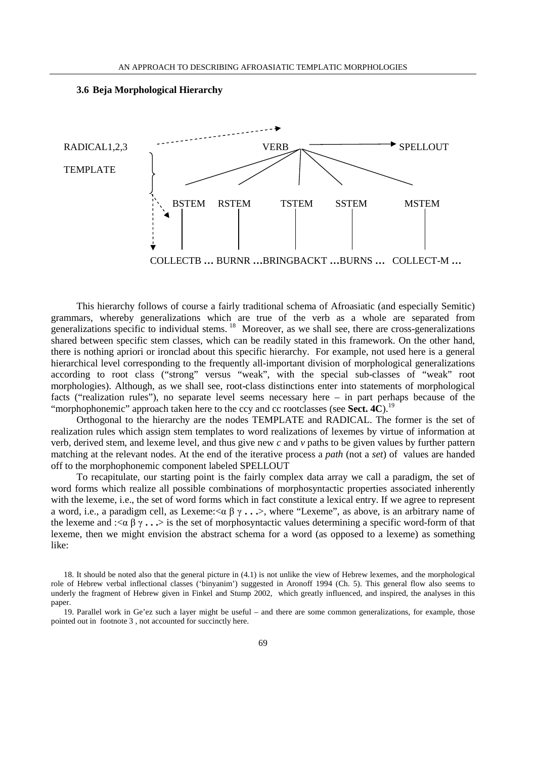

This hierarchy follows of course a fairly traditional schema of Afroasiatic (and especially Semitic) grammars, whereby generalizations which are true of the verb as a whole are separated from generalizations specific to individual stems.<sup>18</sup> Moreover, as we shall see, there are cross-generalizations shared between specific stem classes, which can be readily stated in this framework. On the other hand, there is nothing apriori or ironclad about this specific hierarchy. For example, not used here is a general hierarchical level corresponding to the frequently all-important division of morphological generalizations according to root class ("strong" versus "weak", with the special sub-classes of "weak" root morphologies). Although, as we shall see, root-class distinctions enter into statements of morphological facts ("realization rules"), no separate level seems necessary here – in part perhaps because of the "morphophonemic" approach taken here to the ccy and cc rootclasses (see **Sect. 4C**).<sup>19</sup>

Orthogonal to the hierarchy are the nodes TEMPLATE and RADICAL. The former is the set of realization rules which assign stem templates to word realizations of lexemes by virtue of information at verb, derived stem, and lexeme level, and thus give new *c* and *v* paths to be given values by further pattern matching at the relevant nodes. At the end of the iterative process a *path* (not a *set*) of values are handed off to the morphophonemic component labeled SPELLOUT

To recapitulate, our starting point is the fairly complex data array we call a paradigm, the set of word forms which realize all possible combinations of morphosyntactic properties associated inherently with the lexeme, i.e., the set of word forms which in fact constitute a lexical entry. If we agree to represent a word, i.e., a paradigm cell, as Lexeme:<α β γ **. . .**>, where "Lexeme", as above, is an arbitrary name of the lexeme and : $\langle \alpha \beta \gamma \rangle$  is the set of morphosyntactic values determining a specific word-form of that lexeme, then we might envision the abstract schema for a word (as opposed to a lexeme) as something like:

<sup>18.</sup> It should be noted also that the general picture in (4.1) is not unlike the view of Hebrew lexemes, and the morphological role of Hebrew verbal inflectional classes ('binyanim') suggested in Aronoff 1994 (Ch. 5). This general flow also seems to underly the fragment of Hebrew given in Finkel and Stump 2002, which greatly influenced, and inspired, the analyses in this paper.

<sup>19.</sup> Parallel work in Ge'ez such a layer might be useful – and there are some common generalizations, for example, those pointed out in footnote 3 , not accounted for succinctly here.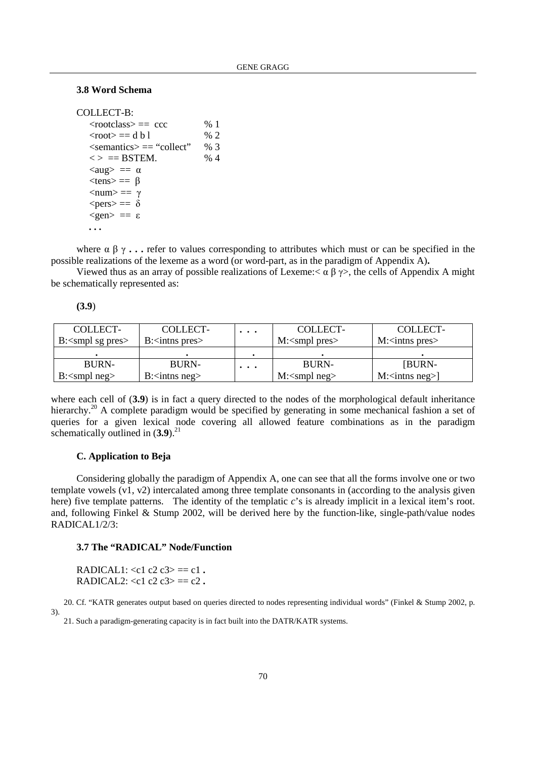## **3.8 Word Schema**

```
COLLECT-B: 
   <rootclass> == ccc \% 1
   <root> == d b l \% 2
   \leqsemantics\geq = "collect" % 3
   \langle \rangle = BSTEM. % 4
   \langle \text{aug} \rangle = \alpha<tens> == \beta\langlenum\rangle == γ
   <pers>= \delta<gen> = = \varepsilon . . .
```
where  $\alpha \beta \gamma$ ... refer to values corresponding to attributes which must or can be specified in the possible realizations of the lexeme as a word (or word-part, as in the paradigm of Appendix A)**.** 

Viewed thus as an array of possible realizations of Lexeme:  $\alpha \beta \gamma$ , the cells of Appendix A might be schematically represented as:

| ۰. |  |
|----|--|
|    |  |

| COLLECT-                                       | COLLECT-                            | $\cdots$ | COLLECT-                            | COLLECT-                             |
|------------------------------------------------|-------------------------------------|----------|-------------------------------------|--------------------------------------|
| B: $\langle \text{smpl sg pres} \rangle$       | $B$ : $\langle$ inthese pres        |          | $M$ : $\langle$ smpl pres $\rangle$ | $M$ : $\langle$ intns pres $\rangle$ |
|                                                |                                     |          |                                     |                                      |
| <b>BURN-</b>                                   | <b>BURN-</b>                        | $\cdots$ | <b>BURN-</b>                        | [BURN-                               |
| $B$ : $\langle \text{smpl} \text{neg} \rangle$ | $B$ : $\langle$ intns neg $\rangle$ |          | $M$ : $\langle$ smpl neg $\rangle$  | $M:\langle \text{inths neg} \rangle$ |

where each cell of (3.9) is in fact a query directed to the nodes of the morphological default inheritance hierarchy.<sup>20</sup> A complete paradigm would be specified by generating in some mechanical fashion a set of queries for a given lexical node covering all allowed feature combinations as in the paradigm schematically outlined in  $(3.9)^{21}$ 

## **C. Application to Beja**

Considering globally the paradigm of Appendix A, one can see that all the forms involve one or two template vowels  $(v1, v2)$  intercalated among three template consonants in (according to the analysis given here) five template patterns. The identity of the templatic *c*'s is already implicit in a lexical item's root. and, following Finkel & Stump 2002, will be derived here by the function-like, single-path/value nodes RADICAL1/2/3:

## **3.7 The "RADICAL" Node/Function**

RADICAL1:  $\langle c1 c2 c3 \rangle = c1$ . RADICAL2:  $\langle c1 c2 c3 \rangle = c2$ .

20. Cf. "KATR generates output based on queries directed to nodes representing individual words" (Finkel & Stump 2002, p. 3).

21. Such a paradigm-generating capacity is in fact built into the DATR/KATR systems.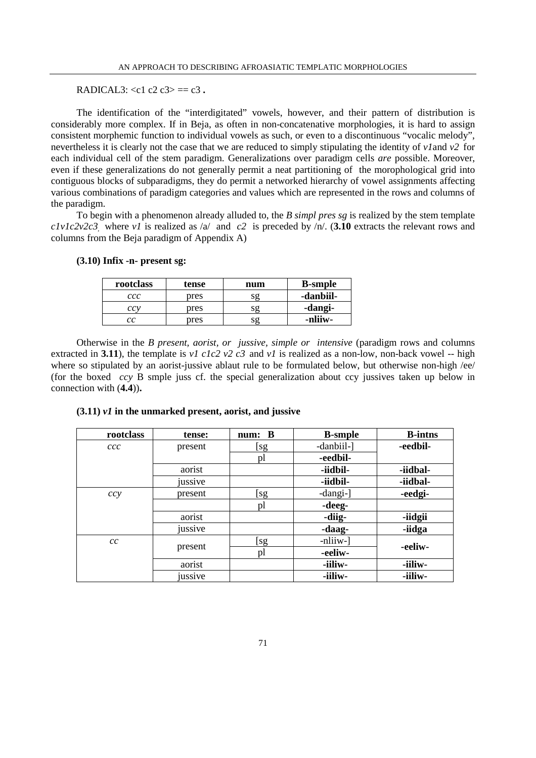RADICAL3:  $\langle c1 c2 c3 \rangle = c3$ .

The identification of the "interdigitated" vowels, however, and their pattern of distribution is considerably more complex. If in Beja, as often in non-concatenative morphologies, it is hard to assign consistent morphemic function to individual vowels as such, or even to a discontinuous "vocalic melody", nevertheless it is clearly not the case that we are reduced to simply stipulating the identity of *v1*and *v2* for each individual cell of the stem paradigm. Generalizations over paradigm cells *are* possible. Moreover, even if these generalizations do not generally permit a neat partitioning of the morophological grid into contiguous blocks of subparadigms, they do permit a networked hierarchy of vowel assignments affecting various combinations of paradigm categories and values which are represented in the rows and columns of the paradigm.

To begin with a phenomenon already alluded to, the *B simpl pres sg* is realized by the stem template *c1v1c2v2c3*, where *v1* is realized as /a/ and *c2* is preceded by /n/. (**3.10** extracts the relevant rows and columns from the Beja paradigm of Appendix A)

| rootclass | tense | num | <b>B</b> -smple |
|-----------|-------|-----|-----------------|
| ccc       | pres  | SΩ  | -danbiil-       |
| ccv       | pres  |     | -dangi-         |
| cс        | pres  | sg  | -nliiw-         |

### **(3.10) Infix -n- present sg:**

Otherwise in the *B present, aorist, or jussive, simple or intensive* (paradigm rows and columns extracted in **3.11**), the template is *v1 c1c2 v2 c3* and *v1* is realized as a non-low, non-back vowel -- high where so stipulated by an aorist-jussive ablaut rule to be formulated below, but otherwise non-high /ee/ (for the boxed *ccy* B smple juss cf. the special generalization about ccy jussives taken up below in connection with (**4.4**))**.** 

| rootclass | tense:  | num: B | <b>B-smple</b> | <b>B-intns</b> |
|-----------|---------|--------|----------------|----------------|
| ccc       | present | [sg    | -danbiil-]     | -eedbil-       |
|           |         | pl     | -eedbil-       |                |
|           | aorist  |        | -iidbil-       | -iidbal-       |
|           | jussive |        | -iidbil-       | -iidbal-       |
| ccy       | present | [sg    | -dangi-]       | -eedgi-        |
|           |         | pl     | -deeg-         |                |
|           | aorist  |        | -diig-         | -iidgii        |
|           | jussive |        | -daag-         | -iidga         |
| cc        |         | [sg    | -nliiw-        | -eeliw-        |
|           | present | pl     | -eeliw-        |                |
|           | aorist  |        | -iiliw-        | -iiliw-        |
|           | jussive |        | -iiliw-        | -iiliw-        |

## **(3.11)** *v1* **in the unmarked present, aorist, and jussive**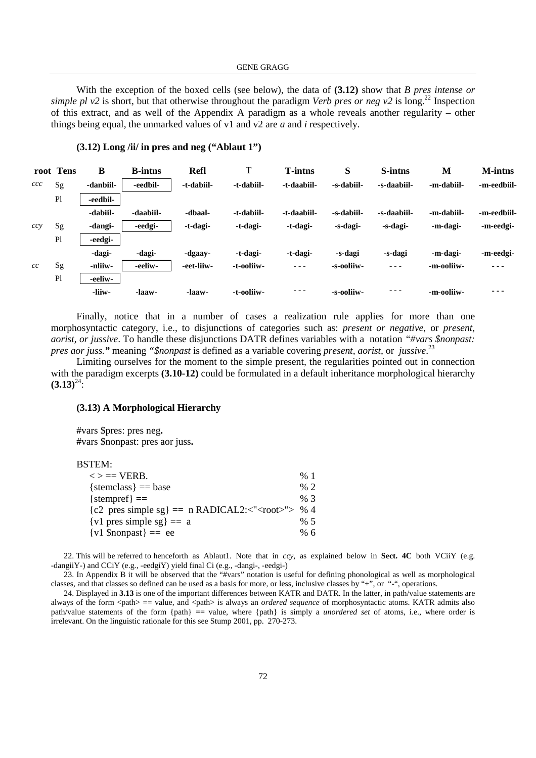With the exception of the boxed cells (see below), the data of **(3.12)** show that *B pres intense or simple pl*  $v^2$  is short, but that otherwise throughout the paradigm *Verb pres or neg v*<sup>2</sup> is long.<sup>22</sup> Inspection of this extract, and as well of the Appendix A paradigm as a whole reveals another regularity – other things being equal, the unmarked values of v1 and v2 are *a* and *i* respectively.

|     | root Tens      | B         | <b>B-intns</b> | <b>Refl</b> | T          | <b>T-intns</b> | S          | S-intns     | M          | <b>M-intns</b> |
|-----|----------------|-----------|----------------|-------------|------------|----------------|------------|-------------|------------|----------------|
| ccc | Sg             | -danbiil- | -eedbil-       | -t-dabiil-  | -t-dabiil- | -t-daabiil-    | -s-dabiil- | -s-daabiil- | -m-dabiil- | -m-eedbiil-    |
|     | P <sub>l</sub> | -eedbil-  |                |             |            |                |            |             |            |                |
|     |                | -dabiil-  | -daabiil-      | -dbaal-     | -t-dabiil- | -t-daabiil-    | -s-dabiil- | -s-daabiil- | -m-dabiil- | -m-eedbiil-    |
| ccy | Sg             | -dangi-   | -eedgi-        | -t-dagi-    | -t-dagi-   | -t-dagi-       | -s-dagi-   | -s-dagi-    | -m-dagi-   | -m-eedgi-      |
|     | P <sub>l</sub> | -eedgi-   |                |             |            |                |            |             |            |                |
|     |                | -dagi-    | -dagi-         | -dgaay-     | -t-dagi-   | -t-dagi-       | -s-dagi    | -s-dagi     | -m-dagi-   | -m-eedgi-      |
| cc  | Sg             | -nliiw-   | -eeliw-        | -eet-liiw-  | -t-ooliiw- | $  -$          | -s-ooliiw- | $- - -$     | -m-ooliiw- | ---            |
|     | P <sub>l</sub> | -eeliw-   |                |             |            |                |            |             |            |                |
|     |                | -liiw-    | -laaw-         | -laaw-      | -t-ooliiw- | - - -          | -s-ooliiw- | - - -       | -m-ooliiw- |                |

## **(3.12) Long /ii/ in pres and neg ("Ablaut 1")**

Finally, notice that in a number of cases a realization rule applies for more than one morphosyntactic category, i.e., to disjunctions of categories such as: *present or negative*, or *present, aorist, or jussive*. To handle these disjunctions DATR defines variables with a notation *"#vars \$nonpast: pres aor juss."* meaning *"\$nonpast* is defined as a variable covering *present, aorist,* or *jussive*. 23

Limiting ourselves for the moment to the simple present, the regularities pointed out in connection with the paradigm excerpts **(3.10-12)** could be formulated in a default inheritance morphological hierarchy  $(3.13)^{24}$ :

## **(3.13) A Morphological Hierarchy**

#vars \$pres: pres neg**.**  #vars \$nonpast: pres aor juss**.** 

#### BSTEM:

| $\langle \rangle \equiv$ VERB.                                | %1              |
|---------------------------------------------------------------|-----------------|
| $\{stemclass\} == base$                                       | $\frac{9}{6}$ 2 |
| ${\text{stempref}} =$                                         | % 3             |
| ${c2 \text{ pres simple sg}} = n \text{ RADICAL2}: < "> > %4$ |                 |
| $\{v1 \text{ pres simple sg}\} == a$                          | % 5             |
| $\{v1 \text{ Snonpast}\} == ee$                               | % 6             |

22. This will be referred to henceforth as Ablaut1. Note that in *ccy*, as explained below in **Sect. 4C** both VCiiY (e.g. -dangiiY-) and CCiY (e.g., -eedgiY) yield final Ci (e.g., -dangi-, -eedgi-)

23. In Appendix B it will be observed that the "#vars" notation is useful for defining phonological as well as morphological classes, and that classes so defined can be used as a basis for more, or less, inclusive classes by "+", or "-", operations.

24. Displayed in **3.13** is one of the important differences between KATR and DATR. In the latter, in path/value statements are always of the form <path> == value, and <path> is always an *ordered sequence* of morphosyntactic atoms. KATR admits also path/value statements of the form {path} == value, where {path} is simply a *unordered set* of atoms, i.e., where order is irrelevant. On the linguistic rationale for this see Stump 2001, pp. 270-273.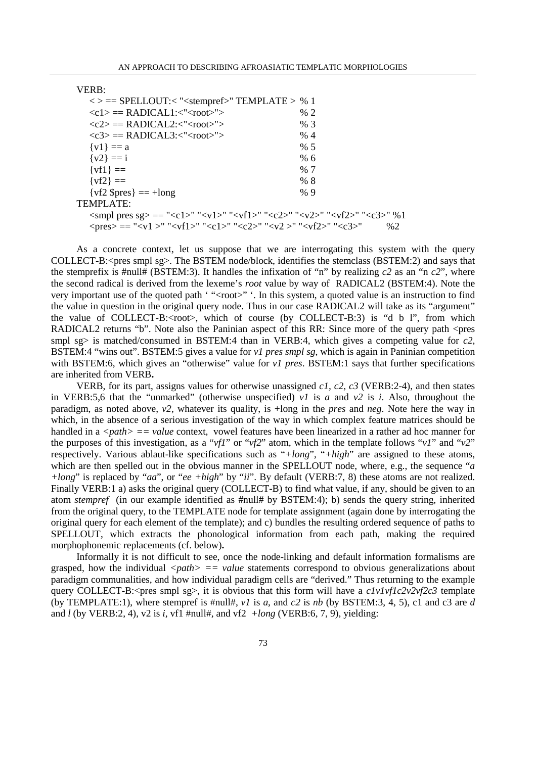#### VERB:

```
\langle \rangle = == SPELLOUT:\langle "<stempref>" TEMPLATE > % 1
     \langle c1 \rangle =RADICAL1:\langle"\langle root \rangle"> % 2
     \langle c2 \rangle =RADICAL2:\langle"\langle root \rangle"> % 3
     \langle c3 \rangle =RADICAL3:\langle"\langle root \rangle"> % 4
     \{v1\} = a % 5
     \{v_2\} = i % 6
     \{vf1\} = % 7
     \{vf2\} = % 8
     \{vf2 \text{ Spres}\} = \pm \text{long} % 9
TEMPLATE: 
     \langle \text{small pres sg} \rangle = \langle \text{cl} \rangle = \langle \text{val} \rangle = \langle \text{val} \rangle = \langle \text{val} \rangle = \langle \text{val} \rangle = \langle \text{val} \rangle = \langle \text{val} \rangle = \langle \text{val} \rangle = \langle \text{val} \rangle = \langle \text{val} \rangle = \langle \text{val} \rangle = \langle \text{val} \rangle = \langle \text{val} \rangle = \langle \text{val} \rangle = \langle \text{val} \rangle = \langle \text{val} \rangle = \langle \text{val} \rangle = \langle \text{val} \rangle = \langle \text{val} \rangle = \langle \text{val} \rangle = \langle \text{val} \\langle \text{pres} \rangle = \text{``} \langle \text{v1} \rangle" \langle \text{vf1} \rangle" \langle \text{c1} \rangle" \langle \text{c2} \rangle" \langle \text{v2} \rangle" \langle \text{v12} \rangle" \langle \text{c3} \rangle" \qquad %2
```
As a concrete context, let us suppose that we are interrogating this system with the query COLLECT-B:<pres smpl sg>. The BSTEM node/block, identifies the stemclass (BSTEM:2) and says that the stemprefix is #null# (BSTEM:3). It handles the infixation of "n" by realizing  $c2$  as an "n  $c2$ ", where the second radical is derived from the lexeme's *root* value by way of RADICAL2 (BSTEM:4). Note the very important use of the quoted path '"<root>" '. In this system, a quoted value is an instruction to find the value in question in the original query node. Thus in our case RADICAL2 will take as its "argument" the value of COLLECT-B: $\langle root \rangle$ , which of course (by COLLECT-B:3) is "d b l", from which RADICAL2 returns "b". Note also the Paninian aspect of this RR: Since more of the query path <pres smpl sg> is matched/consumed in BSTEM:4 than in VERB:4, which gives a competing value for  $c2$ . BSTEM:4 "wins out". BSTEM:5 gives a value for *v1 pres smpl sg*, which is again in Paninian competition with BSTEM:6, which gives an "otherwise" value for *v1 pres*. BSTEM:1 says that further specifications are inherited from VERB**.** 

VERB, for its part, assigns values for otherwise unassigned *c1, c2, c3* (VERB:2-4), and then states in VERB:5,6 that the "unmarked" (otherwise unspecified) *v1* is *a* and *v2* is *i*. Also, throughout the paradigm, as noted above, *v2*, whatever its quality, is +long in the *pres* and *neg*. Note here the way in which, in the absence of a serious investigation of the way in which complex feature matrices should be handled in a *<path>* == *value* context, vowel features have been linearized in a rather ad hoc manner for the purposes of this investigation, as a "*vf1*" or "*vf2*" atom, which in the template follows "*v1*" and "*v2*" respectively. Various ablaut-like specifications such as "*+long*", "*+high*" are assigned to these atoms, which are then spelled out in the obvious manner in the SPELLOUT node, where, e.g., the sequence "*a +long*" is replaced by "*aa*", or "*ee +high*" by "*ii*". By default (VERB:7, 8) these atoms are not realized. Finally VERB:1 a) asks the original query (COLLECT-B) to find what value, if any, should be given to an atom *stempref* (in our example identified as #null# by BSTEM:4); b) sends the query string, inherited from the original query, to the TEMPLATE node for template assignment (again done by interrogating the original query for each element of the template); and c) bundles the resulting ordered sequence of paths to SPELLOUT, which extracts the phonological information from each path, making the required morphophonemic replacements (cf. below)**.** 

Informally it is not difficult to see, once the node-linking and default information formalisms are grasped, how the individual  $\langle path \rangle = \langle value$  statements correspond to obvious generalizations about paradigm communalities, and how individual paradigm cells are "derived." Thus returning to the example query COLLECT-B:<pres smpl sg>, it is obvious that this form will have a  $c1v1vt1c2v2vt2c3$  template (by TEMPLATE:1), where stempref is #null#,  $vI$  is  $a$ , and  $c2$  is  $nb$  (by BSTEM:3, 4, 5), c1 and c3 are  $d$ and *l* (by VERB:2, 4), v2 is *i*, vf1 #null#, and vf2 *+long* (VERB:6, 7, 9), yielding: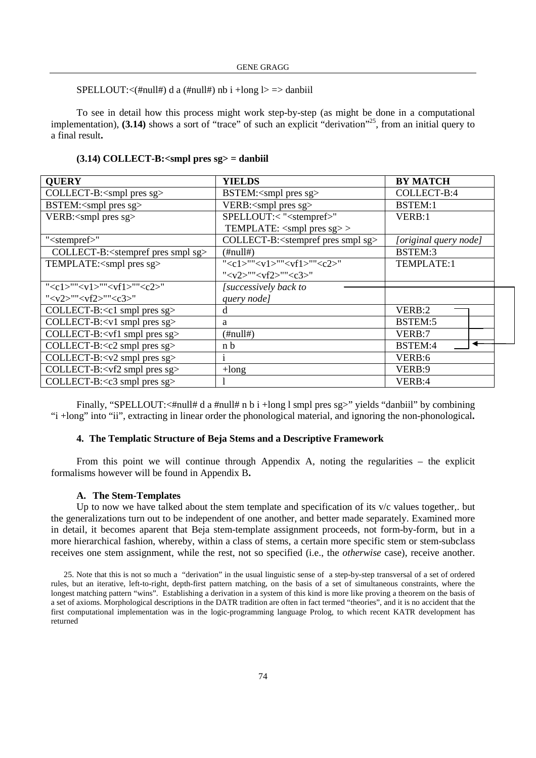SPELLOUT: $\langle$ #null#) d a (#null#) nb i +long l> => danbiil

To see in detail how this process might work step-by-step (as might be done in a computational implementation), **(3.14)** shows a sort of "trace" of such an explicit "derivation"<sup>25</sup>, from an initial query to a final result**.** 

#### **(3.14) COLLECT-B:<smpl pres sg> = danbiil**

| <b>OUERY</b>                                           | <b>YIELDS</b>                                          | <b>BY MATCH</b>       |
|--------------------------------------------------------|--------------------------------------------------------|-----------------------|
| COLLECT-B: <smpl pres="" sg=""></smpl>                 | BSTEM: <smpl pres="" sg=""></smpl>                     | COLLECT-B:4           |
| BSTEM: <smpl pres="" sg=""></smpl>                     | VERB: <smpl pres="" sg=""></smpl>                      | BSTEM:1               |
| VERB: <smpl pres="" sg=""></smpl>                      | SPELLOUT:< " <stempref>"</stempref>                    | VERB:1                |
|                                                        | TEMPLATE: <smpl pres="" sg="">&gt;</smpl>              |                       |
| " <stempref>"</stempref>                               | COLLECT-B: <stempref pres="" sg="" smpl=""></stempref> | [original query node] |
| COLLECT-B: <stempref pres="" sg="" smpl=""></stempref> | $(\#null\#)$                                           | BSTEM:3               |
| TEMPLATE: <smpl pres="" sg=""></smpl>                  | " <c1>""<v1>""<vf1>""<c2>"</c2></vf1></v1></c1>        | TEMPLATE:1            |
|                                                        | " <v2>""<vf2>""<c3>"</c3></vf2></v2>                   |                       |
| " <c1>""<v1>""<vf1>""<c2>"</c2></vf1></v1></c1>        | [successively back to                                  |                       |
| " <v2>""<vf2>""<c3>"</c3></vf2></v2>                   | query node]                                            |                       |
| COLLECT-B: <c1 pres="" sg="" smpl=""></c1>             | d                                                      | VERB:2                |
| COLLECT-B: <v1 pres="" sg="" smpl=""></v1>             | a                                                      | BSTEM:5               |
| COLLECT-B: <vf1 pres="" sg="" smpl=""></vf1>           | $(\text{\#null#})$                                     | VERB:7                |
| COLLECT-B: <c2 pres="" sg="" smpl=""></c2>             | n b                                                    | BSTEM:4               |
| COLLECT-B: <v2 pres="" sg="" smpl=""></v2>             |                                                        | VERB:6                |
| COLLECT-B: <vf2 pres="" sg="" smpl=""></vf2>           | $+$ long                                               | VERB:9                |
| COLLECT-B: <c3 pres="" sg="" smpl=""></c3>             |                                                        | VERB:4                |

Finally, "SPELLOUT:<#null# d a #null# n b i +long l smpl pres sg>" yields "danbiil" by combining "i +long" into "ii", extracting in linear order the phonological material, and ignoring the non-phonological**.** 

### **4. The Templatic Structure of Beja Stems and a Descriptive Framework**

From this point we will continue through Appendix A, noting the regularities – the explicit formalisms however will be found in Appendix B**.** 

### **A. The Stem-Templates**

Up to now we have talked about the stem template and specification of its v/c values together,. but the generalizations turn out to be independent of one another, and better made separately. Examined more in detail, it becomes aparent that Beja stem-template assignment proceeds, not form-by-form, but in a more hierarchical fashion, whereby, within a class of stems, a certain more specific stem or stem-subclass receives one stem assignment, while the rest, not so specified (i.e., the *otherwise* case), receive another.

25. Note that this is not so much a "derivation" in the usual linguistic sense of a step-by-step transversal of a set of ordered rules, but an iterative, left-to-right, depth-first pattern matching, on the basis of a set of simultaneous constraints, where the longest matching pattern "wins". Establishing a derivation in a system of this kind is more like proving a theorem on the basis of a set of axioms. Morphological descriptions in the DATR tradition are often in fact termed "theories", and it is no accident that the first computational implementation was in the logic-programming language Prolog, to which recent KATR development has returned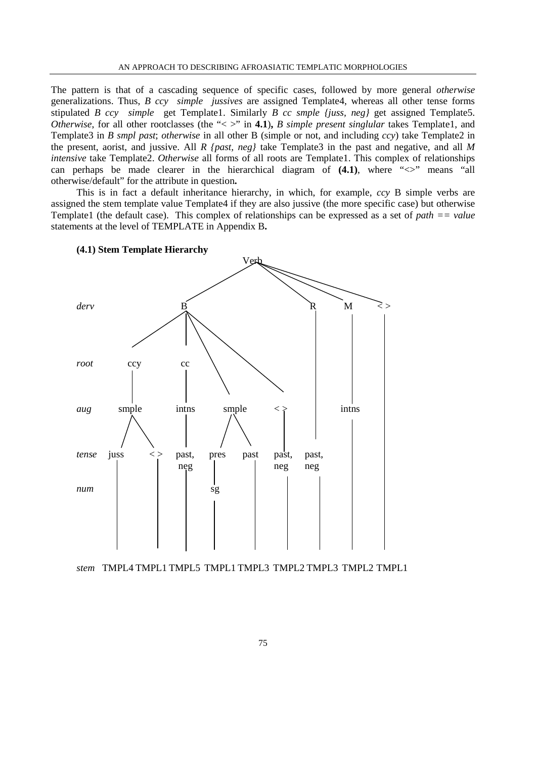The pattern is that of a cascading sequence of specific cases, followed by more general *otherwise* generalizations. Thus, *B ccy simple jussives* are assigned Template4, whereas all other tense forms stipulated *B ccy simple* get Template1. Similarly *B cc smple {juss, neg}* get assigned Template5. *Otherwise*, for all other rootclasses (the "< >" in **4.1**), *B simple present singlular* takes Template1, and Template3 in *B smpl past*; *otherwise* in all other B (simple or not, and including *ccy*) take Template2 in the present, aorist, and jussive. All *R {past, neg}* take Template3 in the past and negative, and all *M intensive* take Template2. *Otherwise* all forms of all roots are Template1. This complex of relationships can perhaps be made clearer in the hierarchical diagram of  $(4.1)$ , where " $\langle \rangle$ " means "all otherwise/default" for the attribute in question**.** 

This is in fact a default inheritance hierarchy, in which, for example, *ccy* B simple verbs are assigned the stem template value Template4 if they are also jussive (the more specific case) but otherwise Template1 (the default case). This complex of relationships can be expressed as a set of *path == value* statements at the level of TEMPLATE in Appendix B**.** 



**(4.1) Stem Template Hierarchy** 

*stem* TMPL4 TMPL1 TMPL5 TMPL1 TMPL3 TMPL2 TMPL3 TMPL2 TMPL1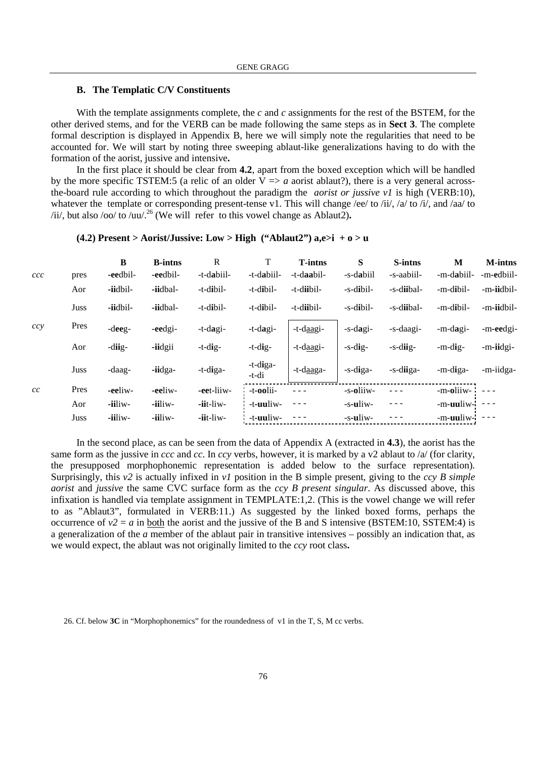### **B. The Templatic C/V Constituents**

With the template assignments complete, the *c* and *c* assignments for the rest of the BSTEM, for the other derived stems, and for the VERB can be made following the same steps as in **Sect 3**. The complete formal description is displayed in Appendix B, here we will simply note the regularities that need to be accounted for. We will start by noting three sweeping ablaut-like generalizations having to do with the formation of the aorist, jussive and intensive**.** 

In the first place it should be clear from **4.2**, apart from the boxed exception which will be handled by the more specific TSTEM:5 (a relic of an older  $V \Rightarrow a$  aorist ablaut?), there is a very general acrossthe-board rule according to which throughout the paradigm the *aorist or jussive v1* is high (VERB:10), whatever the template or corresponding present-tense v1. This will change /ee/ to /ii/, /a/ to /i/, and /aa/ to /ii/, but also /oo/ to /uu/.<sup>26</sup> (We will refer to this vowel change as Ablaut2)**.** 

| ccc | pres | $\bf{B}$<br>-eedbil- | <b>B-intns</b><br>-eedbil- | $\mathbf R$<br>-t-dabiil- | T<br>-t-dabiil-   | <b>T-intns</b><br>-t-daabil- | S<br>-s-dabiil | S-intns<br>-s-aabiil- | M<br>-m-dabiil- | <b>M-intns</b><br>-m-edbiil- |
|-----|------|----------------------|----------------------------|---------------------------|-------------------|------------------------------|----------------|-----------------------|-----------------|------------------------------|
|     | Aor  | -iidbil-             | -iidbal-                   | -t-dibil-                 | -t-dibil-         | -t-diibil-                   | -s-dibil-      | -s-diibal-            | -m-dibil-       | -m-iidbil-                   |
|     | Juss | -iidbil-             | -iidbal-                   | -t-dibil-                 | -t-dibil-         | -t-diibil-                   | -s-dibil-      | -s-diibal-            | -m-dibil-       | -m-iidbil-                   |
| ccy | Pres | -deeg-               | -eedgi-                    | -t-dagi-                  | $-t$ -dagi-       | -t-daagi-                    | -s-dagi-       | -s-daagi-             | -m-dagi-        | -m-eedgi-                    |
|     | Aor  | -diig-               | -iidgii                    | $-t$ -dig-                | $-t$ -dig-        | -t-daagi-                    | -s-dig-        | -s-diig-              | $-m$ -dig-      | -m-iidgi-                    |
|     | Juss | -daag-               | -iidga-                    | -t-diga-                  | -t-diga-<br>-t-di | -t-daaga-                    | -s-diga-       | -s-diiga-             | -m-diga-        | -m-iidga-                    |
| cc  | Pres | -eeliw-              | -eeliw-                    | -eet-liiw-                | -t-oolii-         | $  -$                        | -s-oliiw-      |                       | -m-oliiw-       |                              |
|     | Aor  | -iiliw-              | -iiliw-                    | -iit-liw-                 | -t-uuliw-         | $- - -$                      | -s-uliw-       | $  -$                 | -m-uuliw-       | $\frac{1}{2}$                |
|     | Juss | -iiliw-              | -iiliw-                    | $-$ iit $-$ liw $-$       | -t-uuliw-         |                              | -s-uliw-       |                       | -m-uuliw-       | $\frac{1}{2}$                |

## **(4.2) Present > Aorist/Jussive: Low > High ("Ablaut2") a,e>i + o > u**

In the second place, as can be seen from the data of Appendix A (extracted in **4.3**), the aorist has the same form as the jussive in *ccc* and *cc*. In *ccy* verbs, however, it is marked by a v2 ablaut to /a/ (for clarity, the presupposed morphophonemic representation is added below to the surface representation). Surprisingly, this *v2* is actually infixed in *v1* position in the B simple present, giving to the *ccy B simple aorist* and *jussive* the same CVC surface form as the *ccy B present singular*. As discussed above, this infixation is handled via template assignment in TEMPLATE:1,2. (This is the vowel change we will refer to as "Ablaut3", formulated in VERB:11.) As suggested by the linked boxed forms, perhaps the occurrence of  $v^2 = a$  in both the aorist and the jussive of the B and S intensive (BSTEM:10, SSTEM:4) is a generalization of the *a* member of the ablaut pair in transitive intensives – possibly an indication that, as we would expect, the ablaut was not originally limited to the *ccy* root class**.** 

26. Cf. below **3C** in "Morphophonemics" for the roundedness of v1 in the T, S, M cc verbs.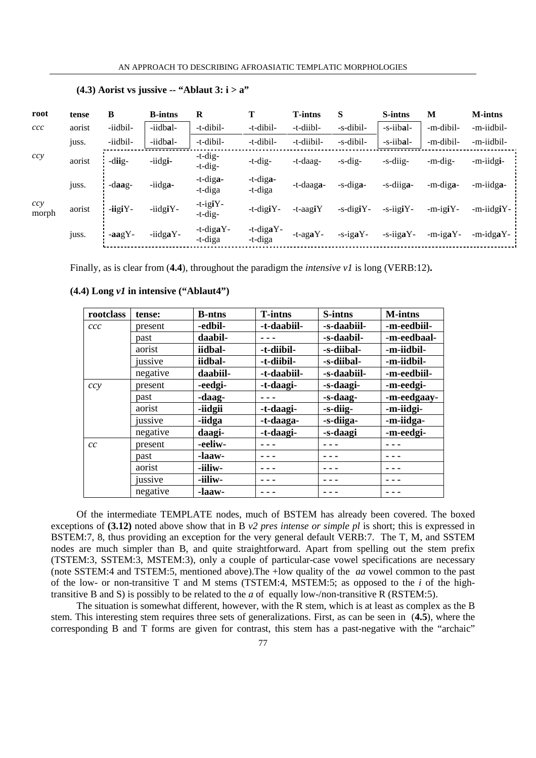| root         | tense  | В             | <b>B</b> -intns | R                         | т                    | <b>T-intns</b>     | S                | S-intns          | M           | <b>M-intns</b> |
|--------------|--------|---------------|-----------------|---------------------------|----------------------|--------------------|------------------|------------------|-------------|----------------|
| ccc          | aorist | -iidbil-      | -iidbal-        | -t-dibil-                 | -t-dibil-            | -t-diibl-          | -s-dibil-        | -s-iibal-        | -m-dibil-   | -m-iidbil-     |
|              | juss.  | -iidbil-      | -iidbal-        | -t-dibil-                 | -t-dibil-            | -t-diibil-         | -s-dibil-        | -s-iibal-        | -m-dibil-   | -m-iidbil-     |
| ccy          | aorist | -diig-        | -iidgi-         | $-t$ -dig-<br>$-t-dig-$   | $-t$ -dig-           | -t-daag-           | $-s$ -dig-       | -s-diig-         | -m-dig-     | -m-iidgi-      |
|              | juss.  | -daag-        | -iidga-         | $-t$ -diga-<br>-t-diga    | -t-diga-<br>-t-diga  | -t-daag <b>a</b> - | -s-diga-         | -s-diiga-        | -m-diga-    | -m-iidga-      |
| ccy<br>morph | aorist | $-$ iigi $Y-$ | -iidgiY-        | $-t$ -igiY-<br>$-t$ -dig- | $-t$ -digi $Y$ -     | -t-aagiY           | $-s$ -digi $Y$ - | $-s$ -iigi $Y$ - | $-m$ -igiY- | -m-iidgiY-     |
|              | juss.  | $-aagY-$      | -iidgaY-        | $-t$ -digaY-<br>-t-diga   | -t-digaY-<br>-t-diga | -t-aga $Y$ -       | $-s$ -igaY-      | $-s$ -iiga $Y$ - | $-m$ -igaY- | -m-idgaY-      |

### **(4.3) Aorist vs jussive -- "Ablaut 3: i > a"**

Finally, as is clear from (**4.4**), throughout the paradigm the *intensive v1* is long (VERB:12)**.** 

| rootclass | tense:   | <b>B</b> -ntns | <b>T-intns</b> | S-intns     | <b>M-intns</b> |
|-----------|----------|----------------|----------------|-------------|----------------|
| ccc       | present  | -edbil-        | -t-daabiil-    | -s-daabiil- | -m-eedbiil-    |
|           | past     | daabil-        |                | -s-daabil-  | -m-eedbaal-    |
|           | aorist   | iidbal-        | -t-diibil-     | -s-diibal-  | -m-iidbil-     |
|           | jussive  | iidbal-        | -t-diibil-     | -s-diibal-  | -m-iidbil-     |
|           | negative | daabiil-       | -t-daabiil-    | -s-daabiil- | -m-eedbiil-    |
| ccy       | present  | -eedgi-        | -t-daagi-      | -s-daagi-   | -m-eedgi-      |
|           | past     | -daag-         |                | -s-daag-    | -m-eedgaay-    |
|           | aorist   | -iidgii        | -t-daagi-      | -s-diig-    | -m-iidgi-      |
|           | jussive  | -iidga         | -t-daaga-      | -s-diiga-   | -m-iidga-      |
|           | negative | daagi-         | -t-daagi-      | -s-daagi    | -m-eedgi-      |
| cc        | present  | -eeliw-        |                |             |                |
|           | past     | -laaw-         |                |             |                |
|           | aorist   | -iiliw-        |                |             |                |
|           | jussive  | -iiliw-        |                |             |                |
|           | negative | -laaw-         |                |             |                |

**(4.4) Long** *v1* **in intensive ("Ablaut4")** 

Of the intermediate TEMPLATE nodes, much of BSTEM has already been covered. The boxed exceptions of **(3.12)** noted above show that in B *v2 pres intense or simple pl* is short; this is expressed in BSTEM:7, 8, thus providing an exception for the very general default VERB:7. The T, M, and SSTEM nodes are much simpler than B, and quite straightforward. Apart from spelling out the stem prefix (TSTEM:3, SSTEM:3, MSTEM:3), only a couple of particular-case vowel specifications are necessary (note SSTEM:4 and TSTEM:5, mentioned above).The +low quality of the *aa* vowel common to the past of the low- or non-transitive T and M stems (TSTEM:4, MSTEM:5; as opposed to the *i* of the hightransitive B and S) is possibly to be related to the *a* of equally low-/non-transitive R (RSTEM:5).

The situation is somewhat different, however, with the R stem, which is at least as complex as the B stem. This interesting stem requires three sets of generalizations. First, as can be seen in (**4.5**), where the corresponding B and T forms are given for contrast, this stem has a past-negative with the "archaic"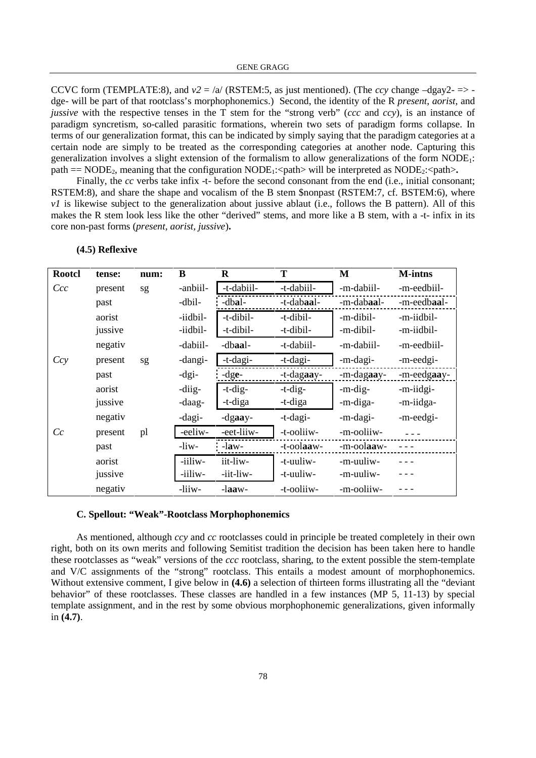CCVC form (TEMPLATE:8), and  $v^2 = |a|$  (RSTEM:5, as just mentioned). (The *ccy* change  $-\text{day2-} \Rightarrow$ dge- will be part of that rootclass's morphophonemics.) Second, the identity of the R *present, aorist,* and *jussive* with the respective tenses in the T stem for the "strong verb" (*ccc* and *ccy*), is an instance of paradigm syncretism, so-called parasitic formations, wherein two sets of paradigm forms collapse. In terms of our generalization format, this can be indicated by simply saying that the paradigm categories at a certain node are simply to be treated as the corresponding categories at another node. Capturing this generalization involves a slight extension of the formalism to allow generalizations of the form NODE1: path  $=$  NODE<sub>2</sub>, meaning that the configuration NODE<sub>1</sub>: $\epsilon$ path> will be interpreted as NODE<sub>2</sub>: $\epsilon$ path>

Finally, the *cc* verbs take infix -t- before the second consonant from the end (i.e., initial consonant; RSTEM:8), and share the shape and vocalism of the B stem \$nonpast (RSTEM:7, cf. BSTEM:6), where *v1* is likewise subject to the generalization about jussive ablaut (i.e., follows the B pattern). All of this makes the R stem look less like the other "derived" stems, and more like a B stem, with a -t- infix in its core non-past forms (*present, aorist, jussive*)**.** 

| <b>Rootcl</b> | tense:  | num: | B        | R          | Т          | M          | <b>M-intns</b> |
|---------------|---------|------|----------|------------|------------|------------|----------------|
| Ccc           | present | sg   | -anbiil- | -t-dabiil- | -t-dabiil- | -m-dabiil- | -m-eedbiil-    |
|               | past    |      | -dbil-   | -dbal-     | -t-dabaal- | -m-dabaal- | -m-eedbaal-    |
|               | aorist  |      | -iidbil- | -t-dibil-  | -t-dibil-  | -m-dibil-  | -m-iidbil-     |
|               | jussive |      | -iidbil- | -t-dibil-  | -t-dibil-  | -m-dibil-  | -m-iidbil-     |
|               | negativ |      | -dabiil- | -dbaal-    | -t-dabiil- | -m-dabiil- | -m-eedbiil-    |
| Ccy           | present | sg   | -dangi-  | -t-dagi-   | -t-dagi-   | -m-dagi-   | -m-eedgi-      |
|               | past    |      | $-dgi-$  | $-dge-$    | -t-dagaay- | -m-dagaay- | -m-eedgaay-    |
|               | aorist  |      | -diig-   | $-t$ -dig- | $-t$ -dig- | -m-dig-    | -m-iidgi-      |
|               | jussive |      | -daag-   | -t-diga    | -t-diga    | -m-diga-   | -m-iidga-      |
|               | negativ |      | -dagi-   | $-d$ gaay- | -t-dagi-   | -m-dagi-   | -m-eedgi-      |
| Cc            | present | pl   | -eeliw-  | -eet-liiw- | -t-ooliiw- | -m-ooliiw- |                |
|               | past    |      | -liw-    | $-law-$    | -t-oolaaw- | -m-oolaaw- |                |
|               | aorist  |      | -iiliw-  | iit-liw-   | -t-uuliw-  | -m-uuliw-  |                |
|               | jussive |      | -iiliw-  | -iit-liw-  | -t-uuliw-  | -m-uuliw-  |                |
|               | negativ |      | -liiw-   | $-laaw-$   | -t-ooliiw- | -m-ooliiw- |                |

#### **(4.5) Reflexive**

e

#### **C. Spellout: "Weak"-Rootclass Morphophonemics**

As mentioned, although *ccy* and *cc* rootclasses could in principle be treated completely in their own right, both on its own merits and following Semitist tradition the decision has been taken here to handle these rootclasses as "weak" versions of the *ccc* rootclass, sharing, to the extent possible the stem-template and V/C assignments of the "strong" rootclass. This entails a modest amount of morphophonemics. Without extensive comment, I give below in **(4.6)** a selection of thirteen forms illustrating all the "deviant behavior" of these rootclasses. These classes are handled in a few instances (MP 5, 11-13) by special template assignment, and in the rest by some obvious morphophonemic generalizations, given informally in **(4.7)**.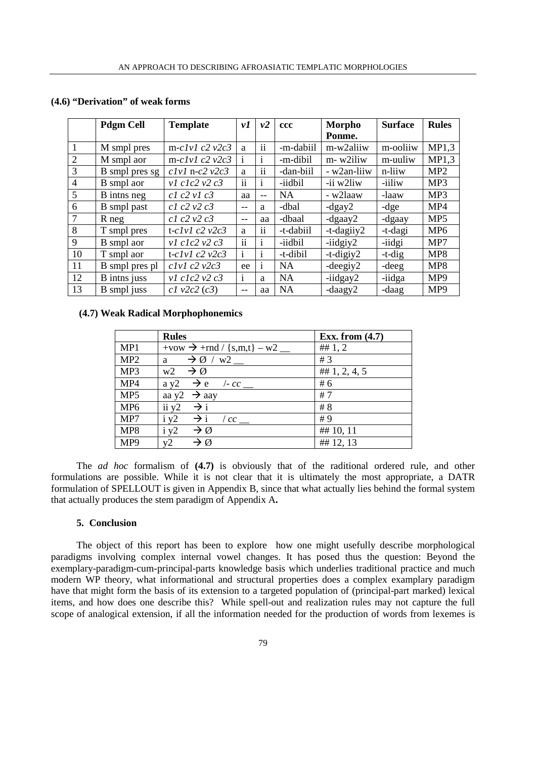|                | <b>Pdgm Cell</b> | <b>Template</b>       | νI              | v2                        | <b>ccc</b> | Morpho        | <b>Surface</b> | <b>Rules</b>    |
|----------------|------------------|-----------------------|-----------------|---------------------------|------------|---------------|----------------|-----------------|
|                |                  |                       |                 |                           |            | Ponme.        |                |                 |
|                | M smpl pres      | m-clvl $c2$ $v2c3$    | a               | $\cdot$ .<br>11           | -m-dabiil  | m-w2aliiw     | m-ooliiw       | MP1,3           |
| $\overline{2}$ | M smpl aor       | m- $clvl$ $c2$ $v2c3$ | $\mathbf{1}$    | $\mathbf{1}$              | -m-dibil   | m-w2iliw      | m-uuliw        | MP1,3           |
| 3              | B smpl pres sg   | $clvl$ n- $c2$ $v2c3$ | a               | $\cdot$ $\cdot$<br>11     | -dan-biil  | - w2an-liiw   | n-liiw         | MP2             |
| 4              | B smpl aor       | $v1$ c1c2 $v2$ c3     | $\cdot$ .<br>11 | $\mathbf{1}$              | -iidbil    | -ii w2liw     | -iiliw         | MP3             |
| 5              | B inths neg      | c1 c2 v1 c3           | aa              | $\qquad \qquad -$         | <b>NA</b>  | - w2laaw      | -laaw          | MP3             |
| 6              | B smpl past      | c1 c2 v2 c3           | $- -$           | a                         | -dbal      | $-d$ gay $2$  | $-dge$         | MP4             |
| 7              | $R$ neg          | c1 c2 v2 c3           | $-$             | aa                        | -dbaal     | $-d$ gaay $2$ | -dgaay         | MP <sub>5</sub> |
| 8              | T smpl pres      | t-clvl $c2$ $v2c3$    | a               | $\cdot$ .<br>11           | -t-dabiil  | $-t$ -dagiiy2 | -t-dagi        | MP <sub>6</sub> |
| 9              | B smpl aor       | $v1$ c1c2 $v2$ c3     | $\cdot$ .<br>11 | $\mathbf{1}$              | -iidbil    | $-$ iidgiy2   | -iidgi         | MP7             |
| 10             | T smpl aor       | t- $clvl$ $c2$ $v2c3$ | $\mathbf{1}$    | $\mathbf{1}$              | -t-dibil   | $-t$ -digiy2  | $-t-dig$       | MP8             |
| 11             | B smpl pres pl   | $clv1$ $c2$ $v2c3$    | ee              | $\bullet$<br>$\mathbf{1}$ | <b>NA</b>  | $-deegiy2$    | $-deeg$        | MP8             |
| 12             | B intns juss     | $v1$ c1c2 $v2$ c3     | $\mathbf{1}$    | a                         | <b>NA</b>  | $-$ iidgay2   | -iidga         | MP <sub>9</sub> |
| 13             | B smpl juss      | $c1$ v2 $c2$ ( $c3$ ) | --              | aa                        | <b>NA</b>  | $-daagy2$     | -daag          | MP <sub>9</sub> |

### **(4.6) "Derivation" of weak forms**

## **(4.7) Weak Radical Morphophonemics**

|                 | <b>Rules</b>                             | Exx. from $(4.7)$ |
|-----------------|------------------------------------------|-------------------|
| MP1             | +vow $\rightarrow$ +rnd / {s,m,t} – w2 _ | ## $1, 2$         |
| MP <sub>2</sub> | a $\rightarrow \emptyset$ / w2 __        | #3                |
| MP3             | $w2 \rightarrow \emptyset$               | ## $1, 2, 4, 5$   |
| MP4             | $ay2 \rightarrow e$ /-cc_                | #6                |
| MP <sub>5</sub> | aa y2 $\rightarrow$ aay                  | #7                |
| MP <sub>6</sub> | ii y2<br>$\rightarrow i$                 | #8                |
| MP7             | $i y2 \rightarrow i$ / $cc$ __           | #9                |
| MP8             | $\rightarrow \emptyset$<br>i y2          | ## 10, 11         |
| MP9             | $\rightarrow \emptyset$<br>v2            | ## 12, 13         |

The *ad hoc* formalism of **(4.7)** is obviously that of the raditional ordered rule, and other formulations are possible. While it is not clear that it is ultimately the most appropriate, a DATR formulation of SPELLOUT is given in Appendix B, since that what actually lies behind the formal system that actually produces the stem paradigm of Appendix A**.** 

#### **5. Conclusion**

The object of this report has been to explore how one might usefully describe morphological paradigms involving complex internal vowel changes. It has posed thus the question: Beyond the exemplary-paradigm-cum-principal-parts knowledge basis which underlies traditional practice and much modern WP theory, what informational and structural properties does a complex examplary paradigm have that might form the basis of its extension to a targeted population of (principal-part marked) lexical items, and how does one describe this? While spell-out and realization rules may not capture the full scope of analogical extension, if all the information needed for the production of words from lexemes is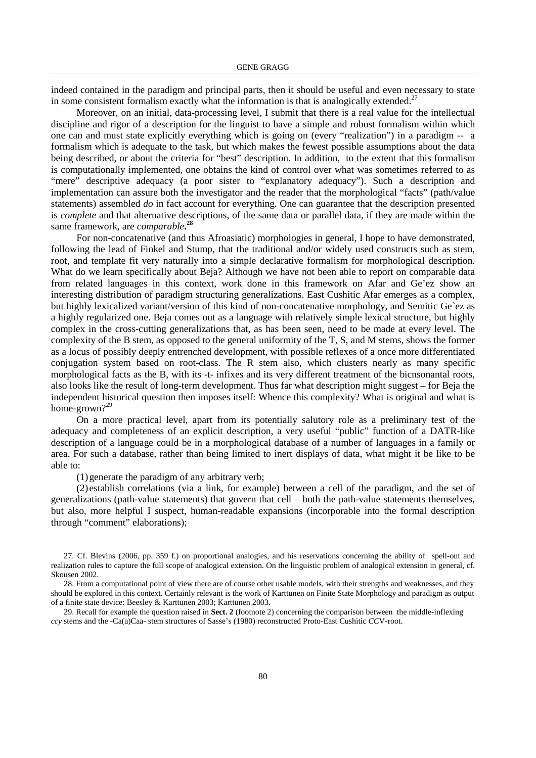indeed contained in the paradigm and principal parts, then it should be useful and even necessary to state in some consistent formalism exactly what the information is that is analogically extended.<sup>27</sup>

Moreover, on an initial, data-processing level, I submit that there is a real value for the intellectual discipline and rigor of a description for the linguist to have a simple and robust formalism within which one can and must state explicitly everything which is going on (every "realization") in a paradigm -- a formalism which is adequate to the task, but which makes the fewest possible assumptions about the data being described, or about the criteria for "best" description. In addition, to the extent that this formalism is computationally implemented, one obtains the kind of control over what was sometimes referred to as "mere" descriptive adequacy (a poor sister to "explanatory adequacy"). Such a description and implementation can assure both the investigator and the reader that the morphological "facts" (path/value statements) assembled *do* in fact account for everything. One can guarantee that the description presented is *complete* and that alternative descriptions, of the same data or parallel data, if they are made within the same framework, are *comparable***. 28**

For non-concatenative (and thus Afroasiatic) morphologies in general, I hope to have demonstrated, following the lead of Finkel and Stump, that the traditional and/or widely used constructs such as stem, root, and template fit very naturally into a simple declarative formalism for morphological description. What do we learn specifically about Beja? Although we have not been able to report on comparable data from related languages in this context, work done in this framework on Afar and Ge'ez show an interesting distribution of paradigm structuring generalizations. East Cushitic Afar emerges as a complex, but highly lexicalized variant/version of this kind of non-concatenative morphology, and Semitic Ge`ez as a highly regularized one. Beja comes out as a language with relatively simple lexical structure, but highly complex in the cross-cutting generalizations that, as has been seen, need to be made at every level. The complexity of the B stem, as opposed to the general uniformity of the T, S, and M stems, shows the former as a locus of possibly deeply entrenched development, with possible reflexes of a once more differentiated conjugation system based on root-class. The R stem also, which clusters nearly as many specific morphological facts as the B, with its -t- infixes and its very different treatment of the bicnsonantal roots, also looks like the result of long-term development. Thus far what description might suggest – for Beja the independent historical question then imposes itself: Whence this complexity? What is original and what is home-grown?<sup>29</sup>

On a more practical level, apart from its potentially salutory role as a preliminary test of the adequacy and completeness of an explicit description, a very useful "public" function of a DATR-like description of a language could be in a morphological database of a number of languages in a family or area. For such a database, rather than being limited to inert displays of data, what might it be like to be able to:

(1)generate the paradigm of any arbitrary verb;

(2) establish correlations (via a link, for example) between a cell of the paradigm, and the set of generalizations (path-value statements) that govern that cell – both the path-value statements themselves, but also, more helpful I suspect, human-readable expansions (incorporable into the formal description through "comment" elaborations);

<sup>27.</sup> Cf. Blevins (2006, pp. 359 f.) on proportional analogies, and his reservations concerning the ability of spell-out and realization rules to capture the full scope of analogical extension. On the linguistic problem of analogical extension in general, cf. Skousen 2002.

<sup>28.</sup> From a computational point of view there are of course other usable models, with their strengths and weaknesses, and they should be explored in this context. Certainly relevant is the work of Karttunen on Finite State Morphology and paradigm as output of a finite state device: Beesley & Karttunen 2003; Karttunen 2003.

<sup>29.</sup> Recall for example the question raised in **Sect. 2** (footnote 2) concerning the comparison between the middle-inflexing *ccy* stems and the -Ca(a)Caa- stem structures of Sasse's (1980) reconstructed Proto-East Cushitic *CC*V-root.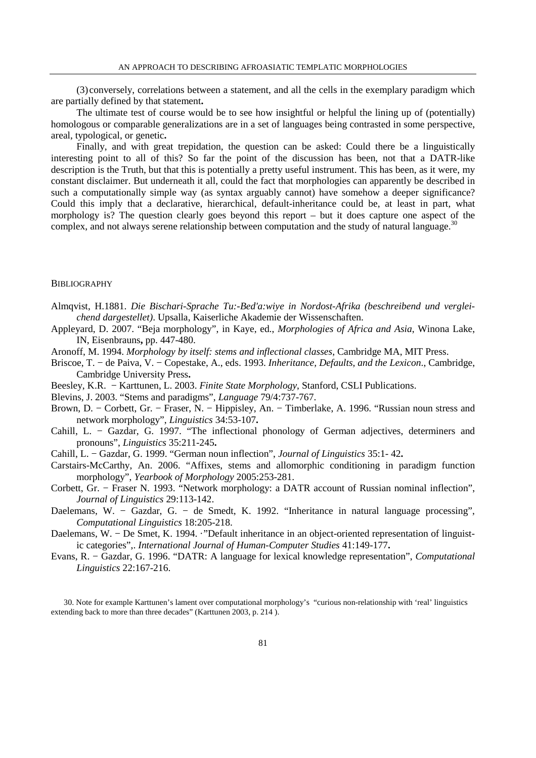(3) conversely, correlations between a statement, and all the cells in the exemplary paradigm which are partially defined by that statement**.** 

The ultimate test of course would be to see how insightful or helpful the lining up of (potentially) homologous or comparable generalizations are in a set of languages being contrasted in some perspective, areal, typological, or genetic**.** 

Finally, and with great trepidation, the question can be asked: Could there be a linguistically interesting point to all of this? So far the point of the discussion has been, not that a DATR-like description is the Truth, but that this is potentially a pretty useful instrument. This has been, as it were, my constant disclaimer. But underneath it all, could the fact that morphologies can apparently be described in such a computationally simple way (as syntax arguably cannot) have somehow a deeper significance? Could this imply that a declarative, hierarchical, default-inheritance could be, at least in part, what morphology is? The question clearly goes beyond this report – but it does capture one aspect of the complex, and not always serene relationship between computation and the study of natural language.<sup>30</sup>

### **BIBLIOGRAPHY**

Almqvist, H.1881. *Die Bischari-Sprache Tu:-Bed'a:wiye in Nordost-Afrika (beschreibend und vergleichend dargestellet)*. Upsalla, Kaiserliche Akademie der Wissenschaften.

Appleyard, D. 2007. "Beja morphology", in Kaye, ed., *Morphologies of Africa and Asia*, Winona Lake, IN, Eisenbrauns**,** pp. 447-480.

- Aronoff, M. 1994. *Morphology by itself: stems and inflectional classes*, Cambridge MA, MIT Press.
- Briscoe, T. − de Paiva, V. − Copestake, A., eds. 1993. *Inheritance, Defaults, and the Lexicon*., Cambridge, Cambridge University Press**.**
- Beesley, K.R. − Karttunen, L. 2003. *Finite State Morphology*, Stanford, CSLI Publications.
- Blevins, J. 2003. "Stems and paradigms", *Language* 79/4:737-767.
- Brown, D. − Corbett, Gr. − Fraser, N. − Hippisley, An. − Timberlake, A. 1996. "Russian noun stress and network morphology", *Linguistics* 34:53-107**.**
- Cahill, L. − Gazdar, G. 1997. "The inflectional phonology of German adjectives, determiners and pronouns", *Linguistics* 35:211-245**.**
- Cahill, L. − Gazdar, G. 1999. "German noun inflection", *Journal of Linguistics* 35:1- 42**.**
- Carstairs-McCarthy, An. 2006. "Affixes, stems and allomorphic conditioning in paradigm function morphology", *Yearbook of Morphology* 2005:253-281.
- Corbett, Gr. − Fraser N. 1993. "Network morphology: a DATR account of Russian nominal inflection", *Journal of Linguistics* 29:113-142.
- Daelemans, W. − Gazdar, G. − de Smedt, K. 1992. "Inheritance in natural language processing", *Computational Linguistics* 18:205-218.
- Daelemans, W. De Smet, K. 1994. ·"Default inheritance in an object-oriented representation of linguistic categories",. *International Journal of Human-Computer Studies* 41:149-177**.**
- Evans, R. − Gazdar, G. 1996. "DATR: A language for lexical knowledge representation", *Computational Linguistics* 22:167-216.

<sup>30.</sup> Note for example Karttunen's lament over computational morphology's "curious non-relationship with 'real' linguistics extending back to more than three decades" (Karttunen 2003, p. 214 ).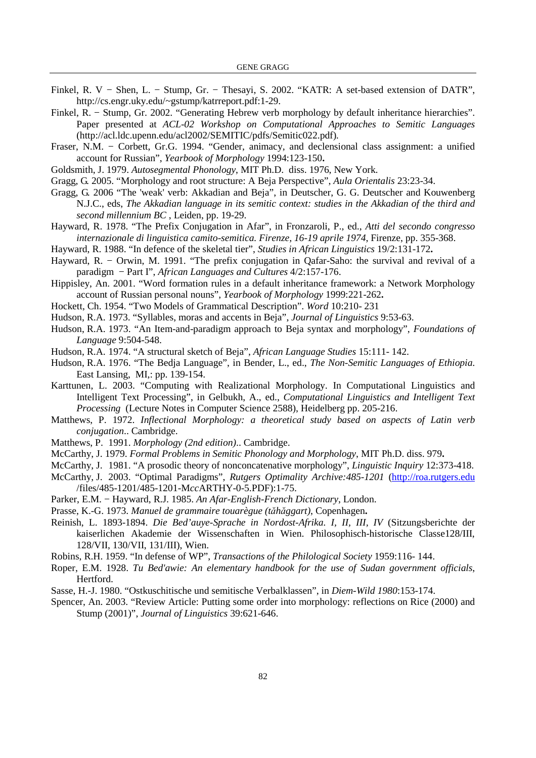- Finkel, R. V − Shen, L. − Stump, Gr. − Thesayi, S. 2002. "KATR: A set-based extension of DATR", http://cs.engr.uky.edu/~gstump/katrreport.pdf:1-29.
- Finkel, R. − Stump, Gr. 2002. "Generating Hebrew verb morphology by default inheritance hierarchies". Paper presented at *ACL-02 Workshop on Computational Approaches to Semitic Languages*  (http://acl.ldc.upenn.edu/acl2002/SEMITIC/pdfs/Semitic022.pdf)*.*
- Fraser, N.M. Corbett, Gr.G. 1994. "Gender, animacy, and declensional class assignment: a unified account for Russian", *Yearbook of Morphology* 1994:123-150**.**
- Goldsmith, J. 1979. *Autosegmental Phonology*, MIT Ph.D. diss. 1976, New York.
- Gragg, G. 2005. "Morphology and root structure: A Beja Perspective", *Aula Orientalis* 23:23-34.
- Gragg, G. 2006 "The 'weak' verb: Akkadian and Beja", in Deutscher, G. G. Deutscher and Kouwenberg N.J.C., eds, *The Akkadian language in its semitic context: studies in the Akkadian of the third and second millennium BC* , Leiden, pp. 19-29.
- Hayward, R. 1978. "The Prefix Conjugation in Afar", in Fronzaroli, P., ed., *Atti del secondo congresso internazionale di linguistica camito-semitica. Firenze, 16-19 aprile 1974*, Firenze, pp. 355-368.
- Hayward, R. 1988. "In defence of the skeletal tier", *Studies in African Linguistics* 19/2:131-172**.**
- Hayward, R. Orwin, M. 1991. "The prefix conjugation in Qafar-Saho: the survival and revival of a paradigm − Part I", *African Languages and Cultures* 4/2:157-176.
- Hippisley, An. 2001. "Word formation rules in a default inheritance framework: a Network Morphology account of Russian personal nouns", *Yearbook of Morphology* 1999:221-262**.**
- Hockett, Ch. 1954. "Two Models of Grammatical Description". *Word* 10:210- 231
- Hudson, R.A. 1973. "Syllables, moras and accents in Beja", *Journal of Linguistics* 9:53-63.
- Hudson, R.A. 1973. "An Item-and-paradigm approach to Beja syntax and morphology", *Foundations of Language* 9:504-548.
- Hudson, R.A. 1974. "A structural sketch of Beja", *African Language Studies* 15:111- 142.
- Hudson, R.A. 1976. "The Bedja Language", in Bender, L., ed., *The Non-Semitic Languages of Ethiopia*. East Lansing, MI,: pp. 139-154.
- Karttunen, L. 2003. "Computing with Realizational Morphology. In Computational Linguistics and Intelligent Text Processing", in Gelbukh, A., ed., *Computational Linguistics and Intelligent Text Processing* (Lecture Notes in Computer Science 2588), Heidelberg pp. 205-216.
- Matthews, P. 1972. *Inflectional Morphology: a theoretical study based on aspects of Latin verb conjugation*.. Cambridge.
- Matthews, P. 1991. *Morphology (2nd edition)*.. Cambridge.
- McCarthy, J. 1979. *Formal Problems in Semitic Phonology and Morphology*, MIT Ph.D. diss. 979**.**
- McCarthy, J. 1981. "A prosodic theory of nonconcatenative morphology", *Linguistic Inquiry* 12:373-418.
- McCarthy, J. 2003. "Optimal Paradigms", *Rutgers Optimality Archive:485-1201* (http://roa.rutgers.edu /files/485-1201/485-1201-M*cc*ARTHY-0-5.PDF):1-75.
- Parker, E.M. − Hayward, R.J. 1985. *An Afar-English-French Dictionary*, London.
- Prasse, K.-G. 1973. *Manuel de grammaire touarègue (t*ă*h*ă*ggart)*, Copenhagen**.**
- Reinish, L. 1893-1894. *Die Bed'auye-Sprache in Nordost-Afrika. I, II, III, IV* (Sitzungsberichte der kaiserlichen Akademie der Wissenschaften in Wien. Philosophisch-historische Classe128/III, 128/VII, 130/VII, 131/III), Wien.
- Robins, R.H. 1959. "In defense of WP", *Transactions of the Philological Society* 1959:116- 144.
- Roper, E.M. 1928. *Tu Bed'awie: An elementary handbook for the use of Sudan government officials*, Hertford.
- Sasse, H.-J. 1980. "Ostkuschitische und semitische Verbalklassen", in *Diem-Wild 1980*:153-174.
- Spencer, An. 2003. "Review Article: Putting some order into morphology: reflections on Rice (2000) and Stump (2001)", *Journal of Linguistics* 39:621-646.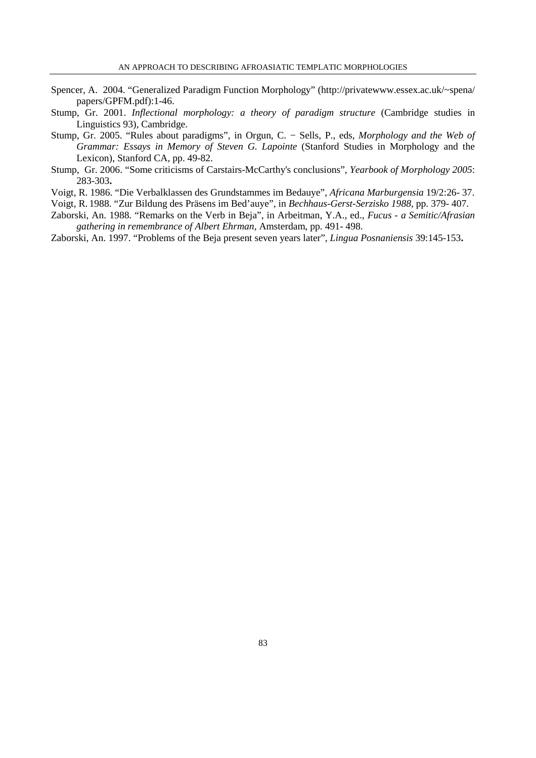- Spencer, A. 2004. "Generalized Paradigm Function Morphology" (http://privatewww.essex.ac.uk/~spena/ papers/GPFM.pdf):1-46.
- Stump, Gr. 2001. *Inflectional morphology: a theory of paradigm structure* (Cambridge studies in Linguistics 93), Cambridge.
- Stump, Gr. 2005. "Rules about paradigms", in Orgun, C. − Sells, P., eds, *Morphology and the Web of Grammar: Essays in Memory of Steven G. Lapointe* (Stanford Studies in Morphology and the Lexicon), Stanford CA, pp. 49-82.
- Stump, Gr. 2006. "Some criticisms of Carstairs-McCarthy's conclusions", *Yearbook of Morphology 2005*: 283-303**.**
- Voigt, R. 1986. "Die Verbalklassen des Grundstammes im Bedauye", *Africana Marburgensia* 19/2:26- 37.

Voigt, R. 1988. "Zur Bildung des Präsens im Bed'auye", in *Bechhaus-Gerst-Serzisko 1988*, pp. 379- 407.

- Zaborski, An. 1988. "Remarks on the Verb in Beja", in Arbeitman, Y.A., ed., *Fucus a Semitic/Afrasian gathering in remembrance of Albert Ehrman*, Amsterdam, pp. 491- 498.
- Zaborski, An. 1997. "Problems of the Beja present seven years later", *Lingua Posnaniensis* 39:145-153**.**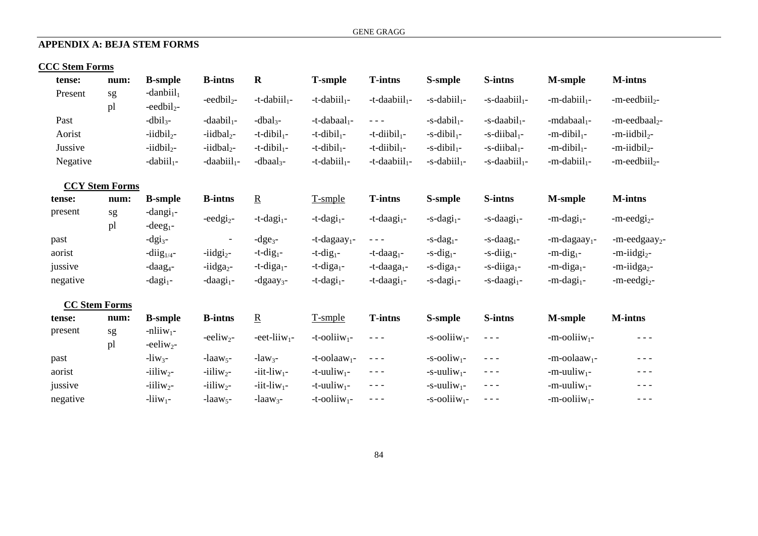# **APPENDIX A: BEJA STEM FORMS**

# **CCC Stem Forms**

| tense:               | num:                  | <b>B</b> -smple                       | <b>B-intns</b>           | $\mathbf R$                 | <b>T-smple</b>              | <b>T-intns</b>               | S-smple                     | S-intns                      | <b>M-smple</b>              | <b>M-intns</b>              |
|----------------------|-----------------------|---------------------------------------|--------------------------|-----------------------------|-----------------------------|------------------------------|-----------------------------|------------------------------|-----------------------------|-----------------------------|
| Present              | sg<br>pl              | $-danbiil1$<br>$-eedbil2$ -           | $-eedbil2$ -             | $-t$ -dabiil <sub>1</sub> - | $-t$ -dabiil <sub>1</sub> - | $-t$ -daabiil <sub>1</sub> - | $-s$ -dabiil <sub>1</sub> - | $-s$ -daabiil <sub>1</sub> - | $-m$ -dabiil <sub>1</sub> - | $-m-eedbiil2$ -             |
| Past                 |                       | $-dbil3$ -                            | $-daabil_1-$             | $-dbal3$ -                  | $-t$ -dabaal <sub>1</sub> - | $\frac{1}{2}$                | $-s$ -dabil <sub>1</sub> -  | $-s$ -daabil <sub>1</sub> -  | $-ndabaal1$                 | -m-eedbaal <sub>2</sub> -   |
| Aorist               |                       | $-iidbil2$                            | $-iidbal2$               | $-t$ -dibil <sub>1</sub> -  | $-t$ -dibil <sub>1</sub> -  | $-t$ -diibil <sub>1</sub> -  | $-s$ -dibil <sub>1</sub> -  | $-s$ -diibal <sub>1</sub> -  | $-m$ -dibil <sub>1</sub> -  | $-m$ -iidbil <sub>2</sub> - |
| Jussive              |                       | $-iidbil$ <sub>2</sub>                | $-iidbal2$               | $-t$ -dibil <sub>1</sub> -  | $-t$ -dibil <sub>1</sub> -  | $-t$ -diibil <sub>1</sub> -  | $-s$ -dibil <sub>1</sub> -  | $-s$ -diibal <sub>1</sub> -  | $-m$ -dibil <sub>1</sub> -  | $-m$ -iidbil <sub>2</sub> - |
| Negative             |                       | $-dabiil_1-$                          | $-daabii1$ -             | $-dbaal3$ -                 | $-t$ -dabiil <sub>1</sub> - | $-t$ -daabiil <sub>1</sub> - | $-s$ -dabiil <sub>1</sub> - | $-s$ -daabiil <sub>1</sub> - | $-m$ -dabiil <sub>1</sub> - | $-m-eedbiil2$ -             |
|                      | <b>CCY Stem Forms</b> |                                       |                          |                             |                             |                              |                             |                              |                             |                             |
| tense:               | num:                  | <b>B-smple</b>                        | <b>B-intns</b>           | $\underline{R}$             | T-smple                     | <b>T-intns</b>               | S-smple                     | S-intns                      | <b>M-smple</b>              | <b>M-intns</b>              |
| present              | sg<br>pl              | -dangi <sub>1</sub> -<br>-deeg $_1$ - | -eedgi <sub>2</sub> -    | $-t$ -dagi <sub>1</sub> -   | $-t$ -dagi <sub>1</sub> -   | $-t$ -daagi <sub>1</sub> -   | $-s$ -dagi <sub>1</sub> -   | $-s$ -daagi <sub>1</sub> -   | $-m$ -dagi <sub>1</sub> -   | $-m-eedgi2$ -               |
| past                 |                       | $-dg_{3}$ -                           | $\overline{\phantom{a}}$ | $-dge3$ -                   | -t-dagaay <sub>1</sub> -    | $\frac{1}{2}$                | $-s$ -dag <sub>1</sub> -    | $-s$ -daag <sub>1</sub> -    | -m-dagaay <sub>1</sub> -    | -m-eedgaay <sub>2</sub> -   |
| aorist               |                       | $-diig_{1/4}$ -                       | $-$ iidgi <sub>2</sub> - | $-t$ -dig <sub>1</sub> -    | $-t$ -dig <sub>1</sub> -    | $-t$ -daag <sub>1</sub> -    | $-s$ -dig <sub>1</sub> -    | $-s$ -diig <sub>1</sub> -    | $-m$ -dig <sub>1</sub> -    | -m-iidgi <sub>2</sub> -     |
| jussive              |                       | $-daag4$ -                            | $-$ iidga <sub>2</sub> - | -t-diga $_1$ -              | -t-diga $_1$ -              | $-t$ -daaga <sub>1</sub> -   | $-s$ -diga <sub>1</sub> -   | $-s$ -diiga <sub>1</sub> -   | $-m$ -diga <sub>1</sub> -   | $-m$ -iidga <sub>2</sub> -  |
| negative             |                       | $-dagi1$ -                            | $-daagi1$ -              | $-d$ gaay <sub>3</sub> -    | $-t$ -dagi <sub>1</sub> -   | $-t$ -daagi <sub>1</sub> -   | $-s$ -dagi <sub>1</sub> -   | $-s$ -daagi <sub>1</sub> -   | $-m$ -dagi <sub>1</sub> -   | $-m-eedgi2$ -               |
| <b>CC Stem Forms</b> |                       |                                       |                          |                             |                             |                              |                             |                              |                             |                             |
| tense:               | num:                  | <b>B</b> -smple                       | <b>B-intns</b>           | $\underline{R}$             | T-smple                     | <b>T-intns</b>               | S-smple                     | S-intns                      | <b>M-smple</b>              | <b>M-intns</b>              |

| www.     | ,,,,,,,, | D-9111 pre                      | D-шию                | <u>.,</u>                   | r əmpiy                     | 1-1110.113                                                                                                                                                                                                                                                                                                                                                                                   | D-9111PIC                   | v-mun     | птэшрг                      | тт-пино       |
|----------|----------|---------------------------------|----------------------|-----------------------------|-----------------------------|----------------------------------------------------------------------------------------------------------------------------------------------------------------------------------------------------------------------------------------------------------------------------------------------------------------------------------------------------------------------------------------------|-----------------------------|-----------|-----------------------------|---------------|
| present  | sg       | $\text{-n}$ hiiw <sub>1</sub> - | $-eeliw_2$ -         | $-$ eet-liiw <sub>1</sub> - | $-t$ -coliiw <sub>1</sub> - | $\frac{1}{2} \frac{1}{2} \frac{1}{2} \frac{1}{2} \frac{1}{2} \frac{1}{2} \frac{1}{2} \frac{1}{2} \frac{1}{2} \frac{1}{2} \frac{1}{2} \frac{1}{2} \frac{1}{2} \frac{1}{2} \frac{1}{2} \frac{1}{2} \frac{1}{2} \frac{1}{2} \frac{1}{2} \frac{1}{2} \frac{1}{2} \frac{1}{2} \frac{1}{2} \frac{1}{2} \frac{1}{2} \frac{1}{2} \frac{1}{2} \frac{1}{2} \frac{1}{2} \frac{1}{2} \frac{1}{2} \frac{$ | $-s$ -ooliiw <sub>1</sub> - | $- - -$   | $-m$ -ooliiw <sub>1</sub> - | $\frac{1}{2}$ |
|          | DI       | $-eeliw_2$                      |                      |                             |                             |                                                                                                                                                                                                                                                                                                                                                                                              |                             |           |                             |               |
| past     |          | $-liw_3-$                       | -laaw <sub>5</sub> - | $-law3$ -                   | $-t$ -oolaaw <sub>1</sub> - | $\frac{1}{2}$                                                                                                                                                                                                                                                                                                                                                                                | $-s$ -ooliw <sub>1</sub> -  | $- - -$   | $-m$ -oolaaw <sub>1</sub> - |               |
| aorist   |          | $-iiliw_2-$                     | $-iiliw$ ?-          | $-iit$ -liw <sub>1</sub> -  | $-t$ -uuliw <sub>1</sub> -  | $- - - -$                                                                                                                                                                                                                                                                                                                                                                                    | $-s$ -uuliw <sub>1</sub> -  | $- - -$   | $-m$ -uuliw <sub>1</sub> -  | $- - -$       |
| jussive  |          | $-iiliw_2-$                     | $-iiliw$ ?-          | $-iit$ -liw <sub>1</sub> -  | $-t$ -uuliw <sub>1</sub> -  | $\frac{1}{2} \frac{1}{2} \frac{1}{2} \frac{1}{2} \frac{1}{2} \frac{1}{2} \frac{1}{2} \frac{1}{2} \frac{1}{2} \frac{1}{2} \frac{1}{2} \frac{1}{2} \frac{1}{2} \frac{1}{2} \frac{1}{2} \frac{1}{2} \frac{1}{2} \frac{1}{2} \frac{1}{2} \frac{1}{2} \frac{1}{2} \frac{1}{2} \frac{1}{2} \frac{1}{2} \frac{1}{2} \frac{1}{2} \frac{1}{2} \frac{1}{2} \frac{1}{2} \frac{1}{2} \frac{1}{2} \frac{$ | $-s$ -uuliw <sub>1</sub> -  | $- - -$   | $-m$ -uuliw <sub>1</sub> -  | $- - -$       |
| negative |          | $-liiw_1-$                      | -laaw <sub>5</sub> - | -laaw <sub>3</sub> -        | $-t$ -ooliiw <sub>1</sub> - | $- - - -$                                                                                                                                                                                                                                                                                                                                                                                    | $-s$ -ooliiw <sub>1</sub> - | $- - - -$ | $-m$ -ooliiw <sub>1</sub> - | $  -$         |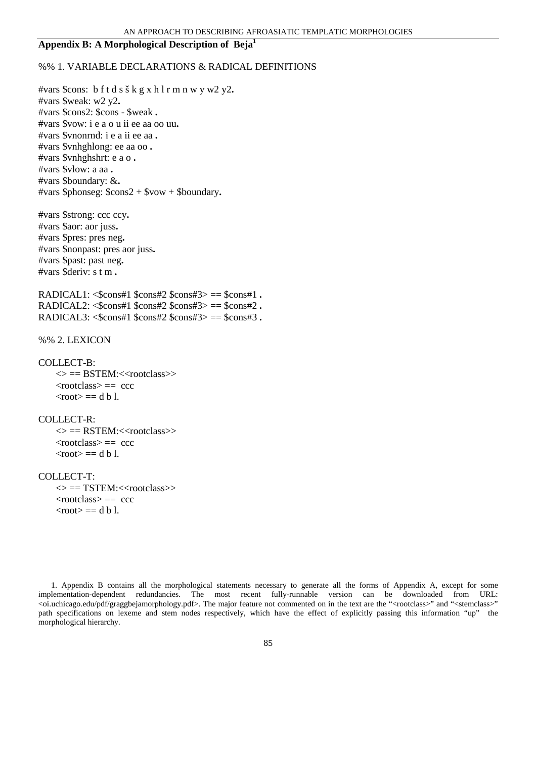## **Appendix B: A Morphological Description of Beja<sup>1</sup>**

## %% 1. VARIABLE DECLARATIONS & RADICAL DEFINITIONS

#vars \$cons: b f t d s š k g x h l r m n w y w2 y2**.**  #vars \$weak: w2 y2**.**  #vars \$cons2: \$cons - \$weak **.**  #vars \$vow: i e a o u ii ee aa oo uu**.**  #vars \$vnonrnd: i e a ii ee aa **.**  #vars \$vnhghlong: ee aa oo **.**  #vars \$vnhghshrt: e a o **.**  #vars \$vlow: a aa **.**  #vars \$boundary: &**.**  #vars \$phonseg: \$cons2 + \$vow + \$boundary**.** 

#vars \$strong: ccc ccy**.**  #vars \$aor: aor juss**.**  #vars \$pres: pres neg**.**  #vars \$nonpast: pres aor juss**.**  #vars \$past: past neg**.**  #vars \$deriv: s t m **.** 

RADICAL1: <\$cons#1 \$cons#2 \$cons#3> == \$cons#1 **.**  RADICAL2: <\$cons#1 \$cons#2 \$cons#3> == \$cons#2 **.**  RADICAL3: <\$cons#1 \$cons#2 \$cons#3> == \$cons#3 **.** 

%% 2. LEXICON

## COLLECT-B:

 $\langle \rangle$  == BSTEM: $\langle \langle \rangle$  rootclass $\langle \rangle$  $<$ rootclass $> ==$  ccc  $<$ root $> ==$  d b l.

### COLLECT-R:

 $\langle \rangle$  == RSTEM: $\langle \langle$ rootclass $\rangle$ >  $<$ rootclass $> ==$  ccc  $<$ root $> ==$  d b l.

### COLLECT-T:

 $\langle \rangle$  == TSTEM: $\langle \langle$ rootclass $\rangle$ >  $<$ rootclass $> ==$  ccc  $<$ root $> ==$  d b l.

1. Appendix B contains all the morphological statements necessary to generate all the forms of Appendix A, except for some implementation-dependent redundancies. The most recent fully-runnable version can be downloaded from URL: <oi.uchicago.edu/pdf/graggbejamorphology.pdf>. The major feature not commented on in the text are the "<rootclass>" and "<stemclass>" path specifications on lexeme and stem nodes respectively, which have the effect of explicitly passing this information "up" the morphological hierarchy.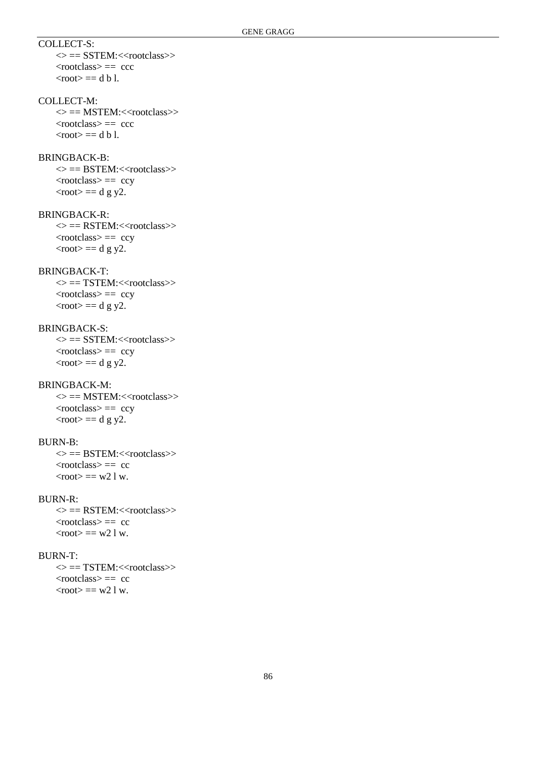## COLLECT-S:

 $\langle \rangle$  == SSTEM: $\langle \rangle$  crootclass  $<$ rootclass $> ==$  ccc  $<$ root $> ==$  d b l.

## COLLECT-M:

 $\langle \rangle$  == MSTEM: $\langle \langle$ rootclass $\rangle$  $<$ rootclass $> ==$  ccc  $<$ root $> ==$  d b l.

### BRINGBACK-B:

 $\langle \rangle$  == BSTEM: $\langle \langle$ rootclass $\rangle$  <rootclass> == ccy  $<$ root $> ==$  d g y2.

## BRINGBACK-R:

 $\langle \rangle$  == RSTEM: $\langle \langle$ rootclass $\rangle$ >  $<$ rootclass> == ccy  $<$ root $> ==$  d g y2.

# BRINGBACK-T:

 $\langle \rangle$  == TSTEM: $\langle \langle \rangle$  rootclass $\rangle$  $<$ rootclass>  $=$  ccy  $<$ root $> ==$  d g y2.

## BRINGBACK-S:

 $\langle \rangle$  == SSTEM: $\langle \rangle$  -rootclass  $<$ rootclass>  $=$  ccy  $<$ root $> ==$  d g y2.

# BRINGBACK-M:

 $\langle \rangle$  == MSTEM: $\langle \langle$ rootclass $\rangle$ >  $<$ rootclass>  $=$  ccy  $<$ root $> ==$  d g y2.

## BURN-B:

 $\langle \rangle$  == BSTEM: $\langle \langle$ rootclass $\rangle$  $<$ rootclass $> == *c*c$  $<$ root $> == w21w$ .

## BURN-R:

 $\langle \rangle$  == RSTEM: $\langle \rangle$  crootclass  $<$ rootclass $> == cc$  $<$ root $> == w21w$ .

## BURN-T:

 $\langle \rangle$  == TSTEM: $\langle$ <rootclass>>  $<$ rootclass $> == cc$  $<$ root $> == w21w$ .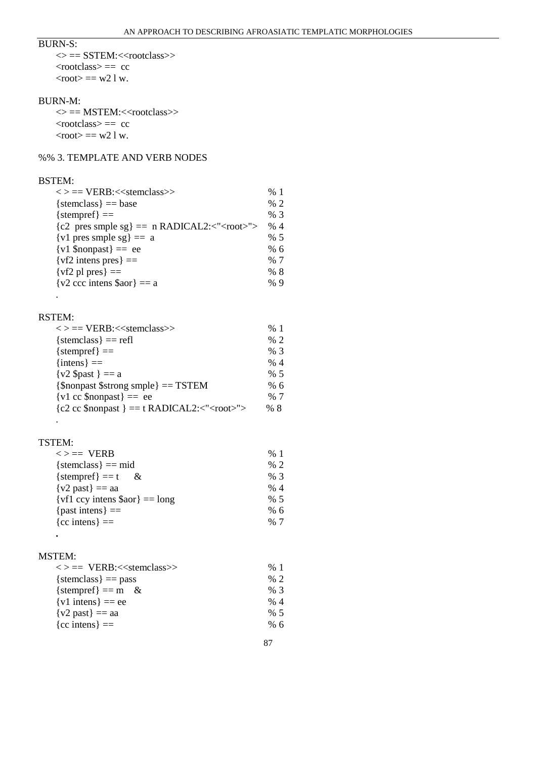## BURN-S:

 $\langle \rangle$  == SSTEM: $\langle \langle$ rootclass $\rangle$ > <rootclass> == cc  $<$ root $> == w21w$ .

### BURN-M:

 $\langle \rangle == \text{MSTEM:}\langle \langle \text{rootclass} \rangle \rangle$  $<$ rootclass $> == *c*c$  $<$ root $> == w21w$ .

# %% 3. TEMPLATE AND VERB NODES

## BSTEM:

| $\langle \rangle$ == VERB: $\langle \rangle$ stemclass $\rangle$ | %1  |
|------------------------------------------------------------------|-----|
| ${\rm \{stemclass\}} == {\rm base}$                              | % 2 |
| ${stempref} ==$                                                  | % 3 |
| ${c2 \text{ pres smple sg}} = n \text{ RADICAL2}: < "">$         | %4  |
| $\{v1 \text{ pres smple sg}\} == a$                              | % 5 |
| $\{v1 \text{ Snonpast}\} == ee$                                  | %66 |
| $\{vf2 \text{ intense pres}\} ==$                                | % 7 |
| $\{vf2\$ pl pres $\} ==$                                         | %8  |
| $\{v2 \text{ ccc intens } \$ a \text{ or } \} == a$              | %9  |

## RSTEM:

.

| $\langle \rangle$ == VERB: $\langle \rangle$ stemclass $\rangle$             | %1  |
|------------------------------------------------------------------------------|-----|
| ${\rm \{stemclass\}} = {\rm refl}$                                           | % 2 |
| ${stempref} ==$                                                              | %3  |
| $\{iners\} ==$                                                               | % 4 |
| $\{v2 \text{ } $past \} == a$                                                | % 5 |
| ${\mathcal{S}}$ nonpast ${\mathcal{S}}$ strong smple ${\mathcal{S}} = TSTEM$ | % 6 |
| $\{v1 \text{ cc } \text{Snonpast}\} =$ ee                                    | % 7 |
| ${c2 cc $nonpast } = t$ RADICAL2:<" <root>"&gt;</root>                       | %8  |
|                                                                              |     |

## TSTEM:

.

| $\langle \rangle =$ VERB            | %1  |
|-------------------------------------|-----|
| {stemclass} == mid                  | % 2 |
| ${\text{stempref}} = t$<br>$\alpha$ | %3  |
| $\{v2\text{ past}\} == \text{aa}$   | % 4 |
| $\{vf1\ ccy\ intens$ \$aor} = long  | % 5 |
| ${past intens} ==$                  | % 6 |
| ${cc$ intens $=$                    | % 7 |

# MSTEM:

**.** 

| $\langle \rangle == \text{VERB}:\langle \langle \text{stemclass} \rangle \rangle$ | %1  |
|-----------------------------------------------------------------------------------|-----|
| $\{stemclass\} == pass$                                                           | % 2 |
| {stempref} == m &                                                                 | %3  |
| $\{v1 \text{ intens}\} == ee$                                                     | % 4 |
| $\{v2\text{ past}\} == \text{aa}$                                                 | % 5 |
| ${cc$ intens $=$                                                                  | % 6 |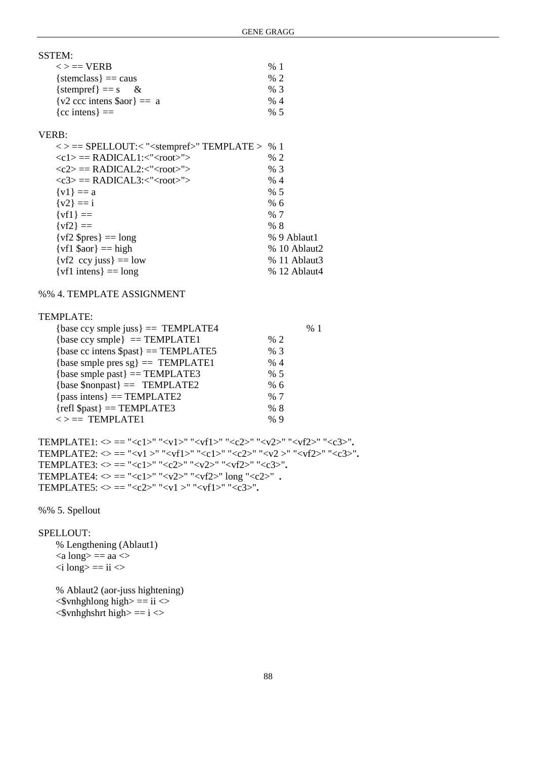| SSTEM:                                            |     |
|---------------------------------------------------|-----|
| $\langle \rangle =$ VERB                          | %1  |
| ${\rm \{stemclass\}} == \rm{caus}$                | % 2 |
| ${\rm \{stempref\}} == {\rm s}$<br>$\propto$      | % 3 |
| $\{v2 \text{ ccc intens } \$ a \text{ or } = a\}$ | % 4 |
| ${cc$ intens $=$                                  | % 5 |
|                                                   |     |

## VERB:

| $\langle \rangle$ == SPELLOUT: $\langle$ " <stempref>" TEMPLATE &gt; % 1</stempref> |              |
|-------------------------------------------------------------------------------------|--------------|
| $\langle c1 \rangle ==$ RADICAL1: $\langle$ " < root $\rangle$ ">                   | % 2          |
| $\langle c2 \rangle \equiv$ RADICAL2: $\langle \langle \text{root} \rangle \rangle$ | %3           |
| $\langle c3 \rangle \equiv$ RADICAL3: $\langle \langle \text{root} \rangle \rangle$ | % 4          |
| $\{v1\} == a$                                                                       | % 5          |
| $\{v2\} == i$                                                                       | % 6          |
| $\{vf1\} ==$                                                                        | % 7          |
| $\{vf2\} ==$                                                                        | % 8          |
| $\{vf2 \text{ Spres}\} = \text{long}$                                               | % 9 Ablaut1  |
| $\{vf1\$ \$aor } = high                                                             | % 10 Ablaut2 |
| $\{vf2\ ccy\ juss\} == low$                                                         | % 11 Ablaut3 |
| $\{ \text{vf1} \text{ intense} \} = \text{long}$                                    | % 12 Ablaut4 |

## %% 4. TEMPLATE ASSIGNMENT

## TEMPLATE:

| % 2 |    |
|-----|----|
| %3  |    |
| % 4 |    |
| % 5 |    |
| %66 |    |
| % 7 |    |
| %8  |    |
| %9  |    |
|     | %1 |

TEMPLATE1:  $\Leftrightarrow == "< c1> "< v1> "< v1> "< c2> "< v2> "< v12> "< c3>".$ TEMPLATE2:  $\Leftrightarrow ==$  "<v1 >" "<vf1>" "<c1>" "<c2>" "<v2 >" "<vf2>" "<c3>". TEMPLATE3: <> == "<c1>" "<c2>" "<v2>" "<vf2>" "<c3>"**.**  TEMPLATE4:  $\bigcirc =$  "<c1>" "<v2>" "<vf2>" long "<c2>" **.** TEMPLATE5:  $\Leftrightarrow$  == "<c2>" "<v1 >" "<vf1>" "<c3>".

%% 5. Spellout

## SPELLOUT:

 % Lengthening (Ablaut1)  $\langle a \text{ long} \rangle = a$ a  $\langle \rangle$  $\langle$  i long $\rangle$  == ii  $\langle$ 

 % Ablaut2 (aor-juss hightening)  $\langle$ Svnhghlong high $\rangle =$  ii $\langle$  $\langle$ Synhghshrt high $\rangle = i \langle \rangle$